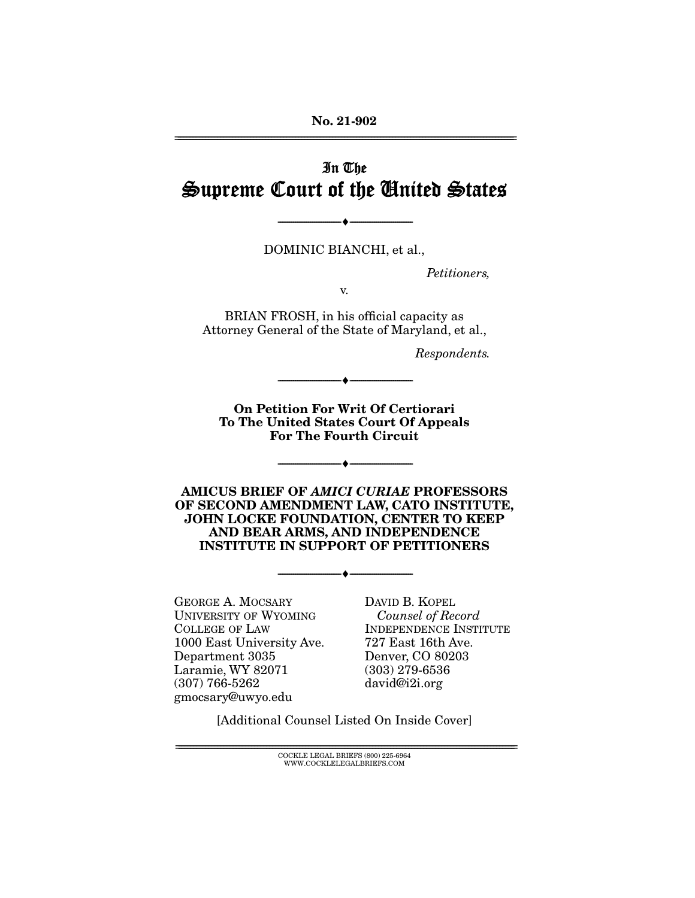**No. 21-902**  ================================================================================================================

# In The Supreme Court of the United States

DOMINIC BIANCHI, et al.,

--------------------------------- ♦ ---------------------------------

Petitioners,

v.

BRIAN FROSH, in his official capacity as Attorney General of the State of Maryland, et al.,

Respondents.

**On Petition For Writ Of Certiorari To The United States Court Of Appeals For The Fourth Circuit** 

--------------------------------- ♦ ---------------------------------

--------------------------------- ♦ ---------------------------------

**AMICUS BRIEF OF** *AMICI CURIAE* **PROFESSORS OF SECOND AMENDMENT LAW, CATO INSTITUTE, JOHN LOCKE FOUNDATION, CENTER TO KEEP AND BEAR ARMS, AND INDEPENDENCE INSTITUTE IN SUPPORT OF PETITIONERS** 

--------------------------------- ♦ ---------------------------------

GEORGE A. MOCSARY UNIVERSITY OF WYOMING COLLEGE OF LAW 1000 East University Ave. Department 3035 Laramie, WY 82071 (307) 766-5262 gmocsary@uwyo.edu

DAVID B. KOPEL Counsel of Record INDEPENDENCE INSTITUTE 727 East 16th Ave. Denver, CO 80203 (303) 279-6536 david@i2i.org

[Additional Counsel Listed On Inside Cover]

 $\text{COCKLE LEGAL BRIEFS}$  (800) 225-6964 WWW.COCKLELEGALBRIEFS.COM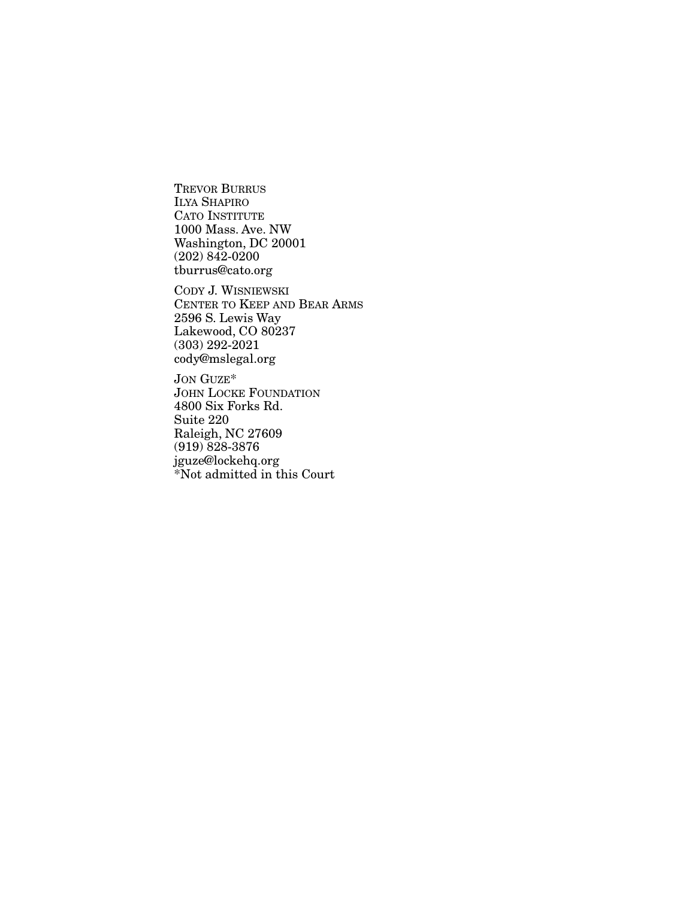TREVOR BURRUS ILYA SHAPIRO CATO INSTITUTE 1000 Mass. Ave. NW Washington, DC 20001  $(202) 842 - 0200$ tburrus@cato.org

CODY J. WISNIEWSKI CENTER TO KEEP AND BEAR ARMS 2596 S. Lewis Way Lakewood, CO 80237 (303) 292-2021 cody@mslegal.org

JON GUZE\* JOHN LOCKE FOUNDATION 4800 Six Forks Rd. Suite 220 Raleigh, NC 27609 (919) 828-3876 jguze@lockehq.org \*Not admitted in this Court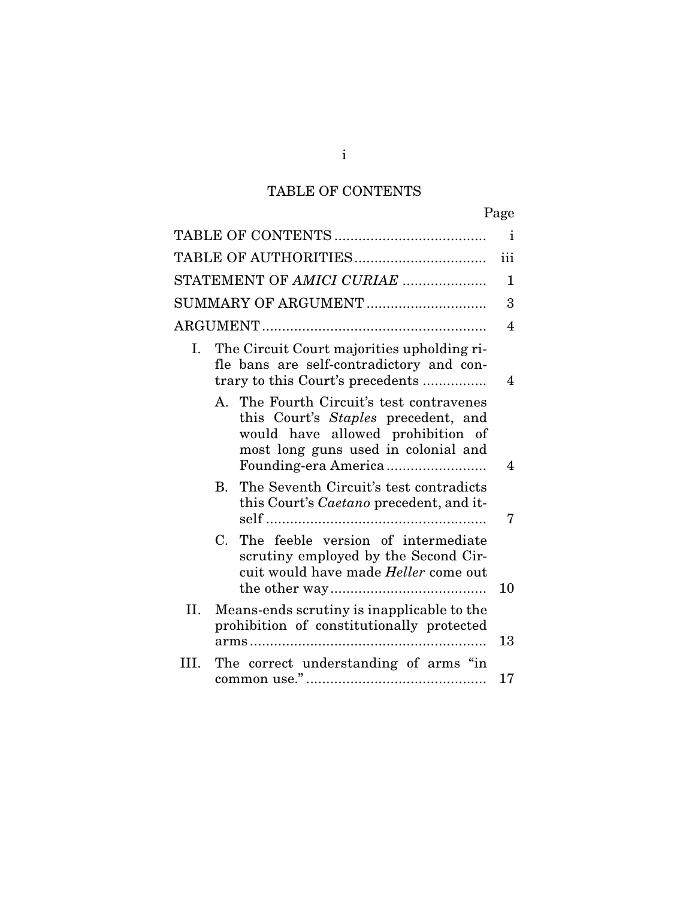# TABLE OF CONTENTS

| ۰, |
|----|
|----|

|      |                                                                                                                                                                                     | $\mathbf{i}$ |
|------|-------------------------------------------------------------------------------------------------------------------------------------------------------------------------------------|--------------|
|      |                                                                                                                                                                                     | iii          |
|      | STATEMENT OF AMICI CURIAE                                                                                                                                                           | 1            |
|      | SUMMARY OF ARGUMENT                                                                                                                                                                 | 3            |
|      |                                                                                                                                                                                     | 4            |
| I.   | The Circuit Court majorities upholding ri-<br>fle bans are self-contradictory and con-<br>trary to this Court's precedents                                                          | 4            |
|      | A. The Fourth Circuit's test contravenes<br>this Court's Staples precedent, and<br>would have allowed prohibition of<br>most long guns used in colonial and<br>Founding-era America | 4            |
|      | The Seventh Circuit's test contradicts<br>$\rm B$ .<br>this Court's Caetano precedent, and it-                                                                                      | 7            |
|      | The feeble version of intermediate<br>$C_{\cdot}$<br>scrutiny employed by the Second Cir-<br>cuit would have made Heller come out                                                   | 10           |
| II.  | Means-ends scrutiny is inapplicable to the<br>prohibition of constitutionally protected                                                                                             | 13           |
| III. | The correct understanding of arms "in                                                                                                                                               | 17           |
|      |                                                                                                                                                                                     |              |

i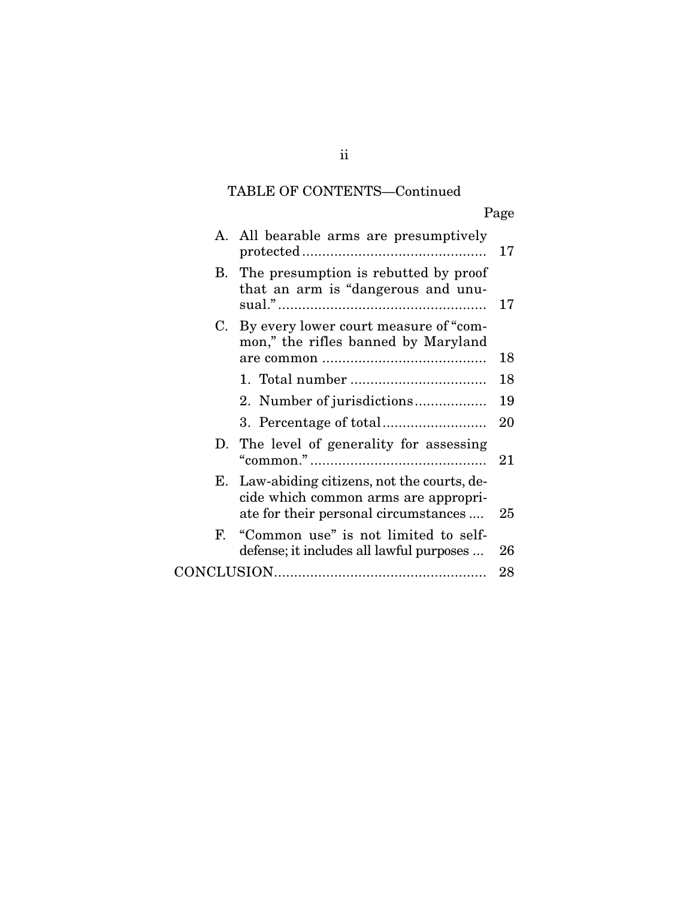## TABLE OF CONTENTS—Continued

# Page

|    | A. All bearable arms are presumptively                                                                                       | 17 |
|----|------------------------------------------------------------------------------------------------------------------------------|----|
|    | B. The presumption is rebutted by proof<br>that an arm is "dangerous and unu-                                                | 17 |
| C. | By every lower court measure of "com-<br>mon," the rifles banned by Maryland                                                 |    |
|    |                                                                                                                              | 18 |
|    |                                                                                                                              | 18 |
|    | 2. Number of jurisdictions                                                                                                   | 19 |
|    |                                                                                                                              | 20 |
|    | D. The level of generality for assessing                                                                                     | 21 |
|    | E. Law-abiding citizens, not the courts, de-<br>cide which common arms are appropri-<br>ate for their personal circumstances | 25 |
| F. | "Common use" is not limited to self-<br>defense; it includes all lawful purposes                                             | 26 |
|    |                                                                                                                              | 28 |
|    |                                                                                                                              |    |

### ii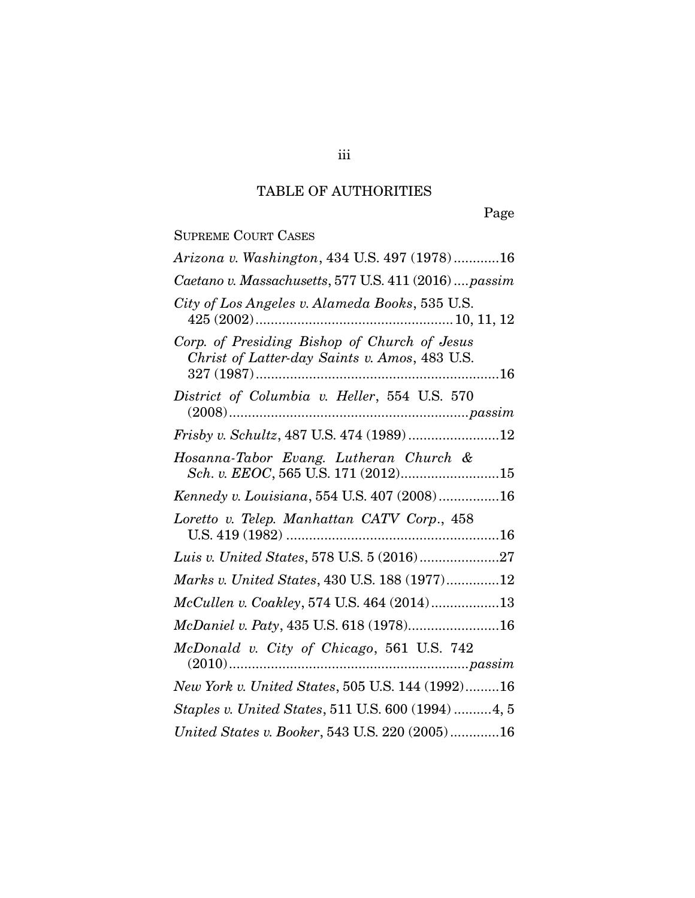## TABLE OF AUTHORITIES

Page

SUPREME COURT CASES

| Arizona v. Washington, 434 U.S. 497 (1978)16                                                  |
|-----------------------------------------------------------------------------------------------|
| Caetano v. Massachusetts, 577 U.S. 411 (2016)  passim                                         |
| City of Los Angeles v. Alameda Books, 535 U.S.                                                |
| Corp. of Presiding Bishop of Church of Jesus<br>Christ of Latter-day Saints v. Amos, 483 U.S. |
| District of Columbia v. Heller, 554 U.S. 570<br>$(2008) \dots 12008$                          |
| Frisby v. Schultz, 487 U.S. 474 (1989) 12                                                     |
| Hosanna-Tabor Evang. Lutheran Church &<br>Sch. v. EEOC, 565 U.S. 171 (2012)15                 |
| Kennedy v. Louisiana, 554 U.S. 407 (2008)16                                                   |
| Loretto v. Telep. Manhattan CATV Corp., 458                                                   |
|                                                                                               |
| Marks v. United States, 430 U.S. 188 (1977)12                                                 |
| McCullen v. Coakley, 574 U.S. 464 (2014)13                                                    |
| McDaniel v. Paty, 435 U.S. 618 (1978)16                                                       |
| McDonald v. City of Chicago, 561 U.S. 742                                                     |
| New York v. United States, 505 U.S. 144 (1992)16                                              |
| Staples v. United States, 511 U.S. 600 (1994) 4, 5                                            |
| United States v. Booker, 543 U.S. 220 (2005)16                                                |

iii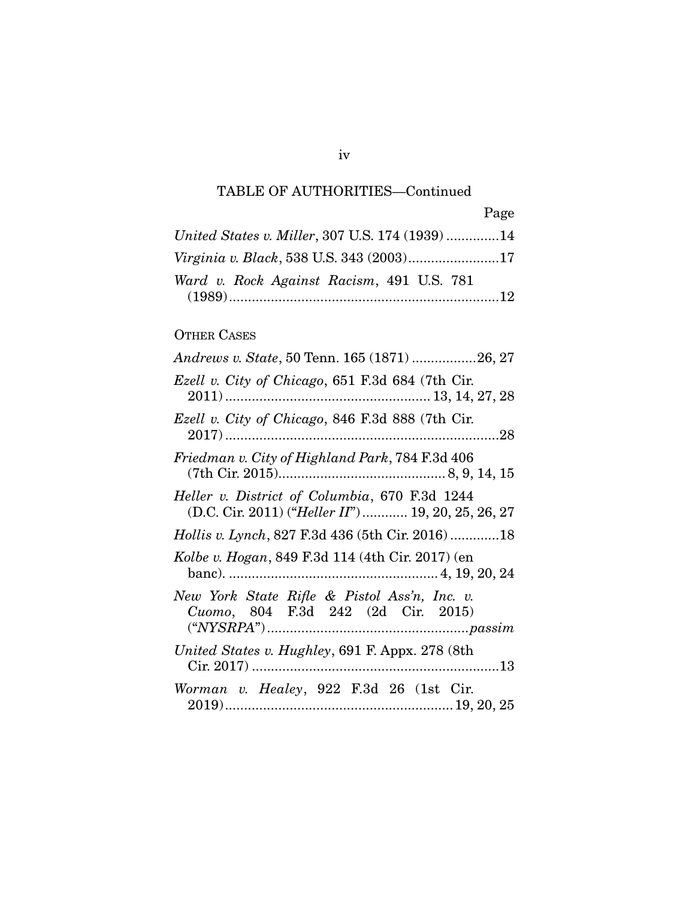iv

| United States v. Miller, 307 U.S. 174 (1939) 14 |  |
|-------------------------------------------------|--|
|                                                 |  |
| Ward v. Rock Against Racism, 491 U.S. 781       |  |
|                                                 |  |

## OTHER CASES

| Andrews v. State, 50 Tenn. 165 (1871) 26, 27                                                        |
|-----------------------------------------------------------------------------------------------------|
| Ezell v. City of Chicago, 651 F.3d 684 (7th Cir.                                                    |
| Ezell v. City of Chicago, 846 F.3d 888 (7th Cir.                                                    |
| Friedman v. City of Highland Park, 784 F.3d 406                                                     |
| Heller v. District of Columbia, 670 F.3d 1244<br>(D.C. Cir. 2011) ("Heller II")  19, 20, 25, 26, 27 |
| Hollis v. Lynch, 827 F.3d 436 (5th Cir. 2016)18                                                     |
| Kolbe v. Hogan, 849 F.3d 114 (4th Cir. 2017) (en                                                    |
| New York State Rifle & Pistol Ass'n, Inc. v.<br>Cuomo, 804 F.3d 242 (2d Cir. 2015)                  |
| United States v. Hughley, 691 F. Appx. 278 (8th                                                     |
| Worman v. Healey, 922 F.3d 26 (1st Cir.                                                             |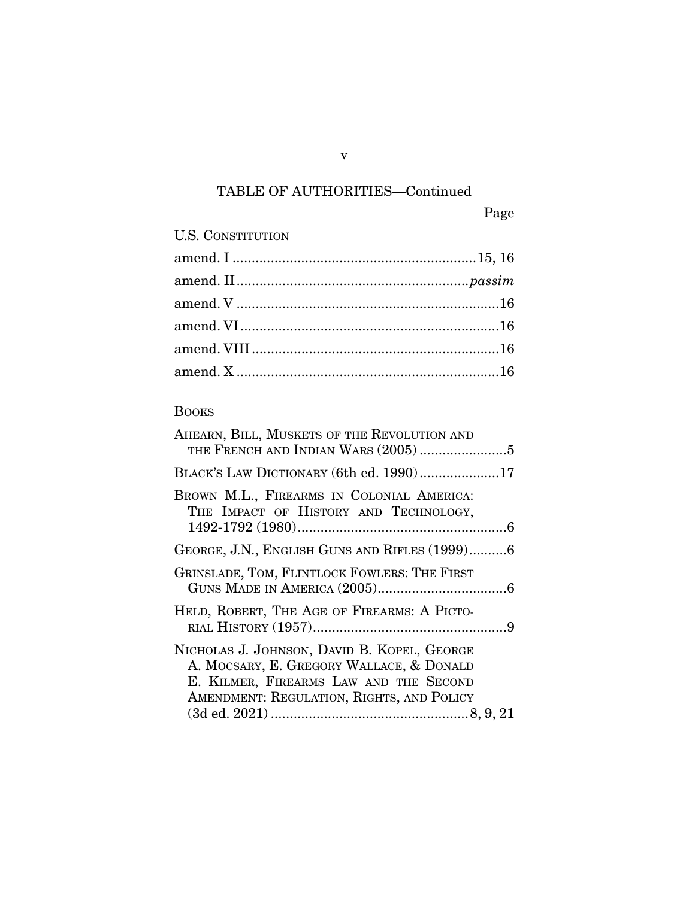Page

U.S. CONSTITUTION

### BOOKS

| AHEARN, BILL, MUSKETS OF THE REVOLUTION AND<br>THE FRENCH AND INDIAN WARS (2005) 5                                                                                             |  |
|--------------------------------------------------------------------------------------------------------------------------------------------------------------------------------|--|
| BLACK'S LAW DICTIONARY (6th ed. 1990)17                                                                                                                                        |  |
| BROWN M.L., FIREARMS IN COLONIAL AMERICA:<br>THE IMPACT OF HISTORY AND TECHNOLOGY,                                                                                             |  |
| GEORGE, J.N., ENGLISH GUNS AND RIFLES (1999)6                                                                                                                                  |  |
| GRINSLADE, TOM, FLINTLOCK FOWLERS: THE FIRST                                                                                                                                   |  |
| HELD, ROBERT, THE AGE OF FIREARMS: A PICTO-                                                                                                                                    |  |
| NICHOLAS J. JOHNSON, DAVID B. KOPEL, GEORGE<br>A. MOCSARY, E. GREGORY WALLACE, & DONALD<br>E. KILMER, FIREARMS LAW AND THE SECOND<br>AMENDMENT: REGULATION, RIGHTS, AND POLICY |  |
|                                                                                                                                                                                |  |

v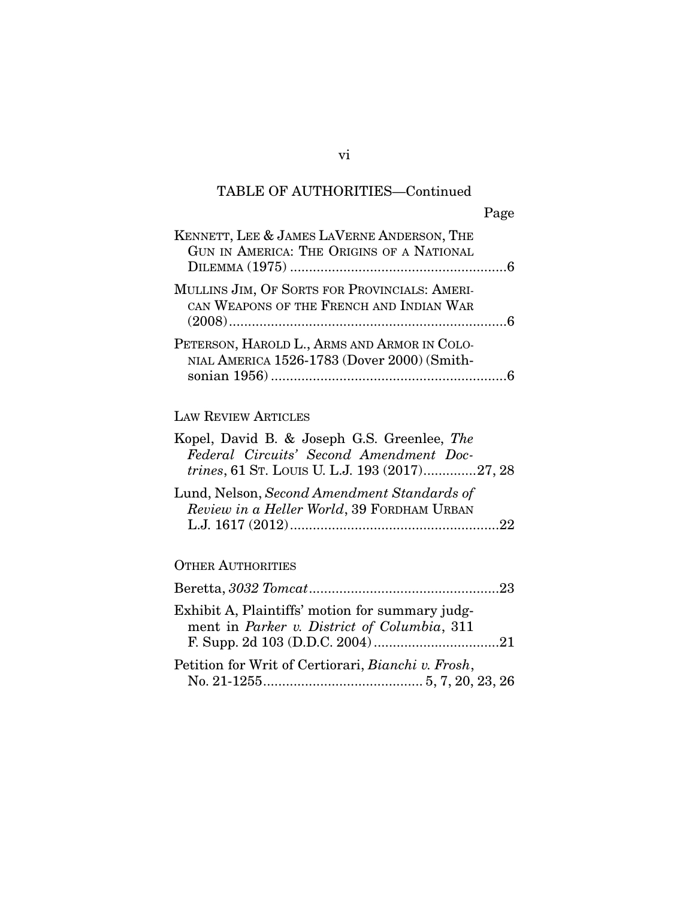|                                                                                             | Page |
|---------------------------------------------------------------------------------------------|------|
| KENNETT, LEE & JAMES LAVERNE ANDERSON, THE<br>GUN IN AMERICA: THE ORIGINS OF A NATIONAL     |      |
| MULLINS JIM, OF SORTS FOR PROVINCIALS: AMERI-<br>CAN WEAPONS OF THE FRENCH AND INDIAN WAR   |      |
| PETERSON, HAROLD L., ARMS AND ARMOR IN COLO-<br>NIAL AMERICA 1526-1783 (Dover 2000) (Smith- |      |

## LAW REVIEW ARTICLES

| Kopel, David B. & Joseph G.S. Greenlee, The<br>Federal Circuits' Second Amendment Doc-<br>trines, 61 Sr. Louis U. L.J. 193 (2017)27, 28 |  |
|-----------------------------------------------------------------------------------------------------------------------------------------|--|
| Lund, Nelson, Second Amendment Standards of<br>Review in a Heller World, 39 FORDHAM URBAN                                               |  |
| <b>OTHER AUTHORITIES</b>                                                                                                                |  |
|                                                                                                                                         |  |
| Exhibit A, Plaintiffs' motion for summary judg-<br>ment in Parker v. District of Columbia, 311                                          |  |
| Petition for Writ of Certiorari, <i>Bianchi v. Frosh</i> ,                                                                              |  |

No. 21-1255 .......................................... 5, 7, 20, 23, 26

vi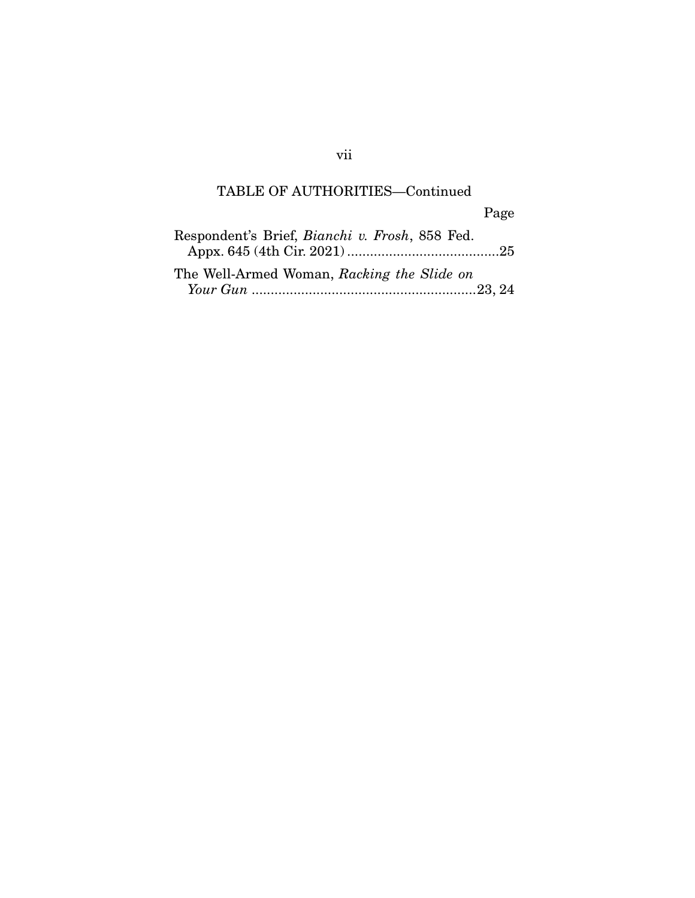|                                                        | Page |
|--------------------------------------------------------|------|
| Respondent's Brief, <i>Bianchi v. Frosh</i> , 858 Fed. |      |
| The Well-Armed Woman, Racking the Slide on             |      |
|                                                        |      |

### vii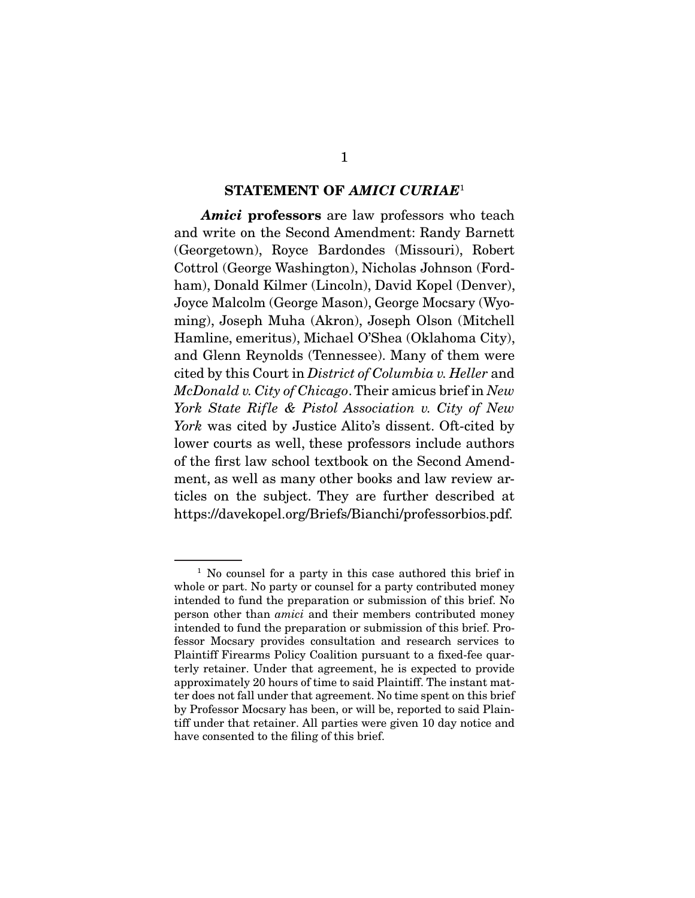#### **STATEMENT OF** *AMICI CURIAE*<sup>1</sup>

 *Amici* **professors** are law professors who teach and write on the Second Amendment: Randy Barnett (Georgetown), Royce Bardondes (Missouri), Robert Cottrol (George Washington), Nicholas Johnson (Fordham), Donald Kilmer (Lincoln), David Kopel (Denver), Joyce Malcolm (George Mason), George Mocsary (Wyoming), Joseph Muha (Akron), Joseph Olson (Mitchell Hamline, emeritus), Michael O'Shea (Oklahoma City), and Glenn Reynolds (Tennessee). Many of them were cited by this Court in *District of Columbia v. Heller* and *McDonald v. City of Chicago*. Their amicus brief in *New York State Rifle & Pistol Association v. City of New York* was cited by Justice Alito's dissent. Oft-cited by lower courts as well, these professors include authors of the first law school textbook on the Second Amendment, as well as many other books and law review articles on the subject. They are further described at https://davekopel.org/Briefs/Bianchi/professorbios.pdf.

<sup>&</sup>lt;sup>1</sup> No counsel for a party in this case authored this brief in whole or part. No party or counsel for a party contributed money intended to fund the preparation or submission of this brief. No person other than *amici* and their members contributed money intended to fund the preparation or submission of this brief. Professor Mocsary provides consultation and research services to Plaintiff Firearms Policy Coalition pursuant to a fixed-fee quarterly retainer. Under that agreement, he is expected to provide approximately 20 hours of time to said Plaintiff. The instant matter does not fall under that agreement. No time spent on this brief by Professor Mocsary has been, or will be, reported to said Plaintiff under that retainer. All parties were given 10 day notice and have consented to the filing of this brief.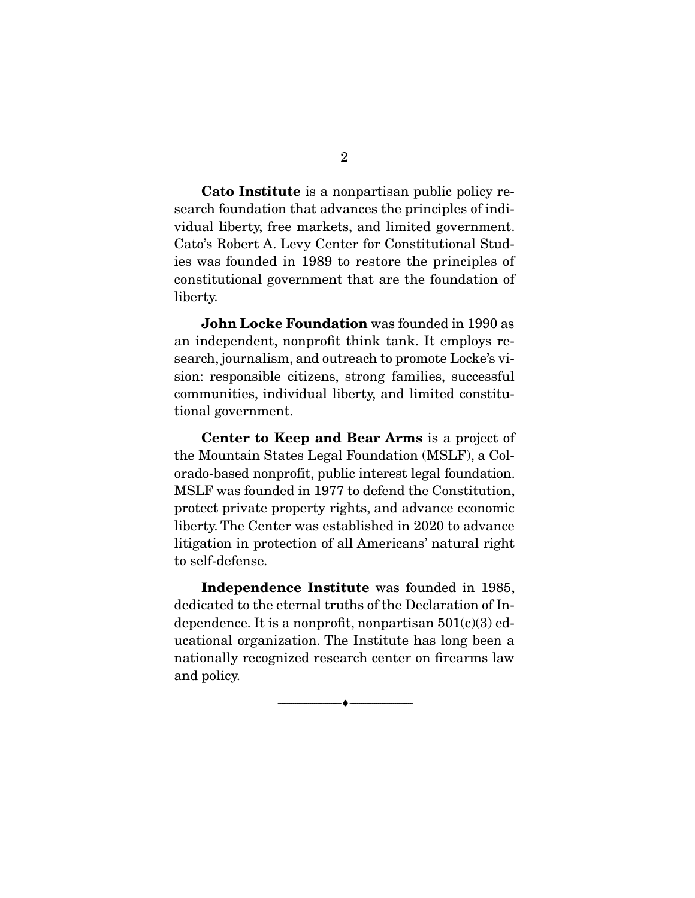**Cato Institute** is a nonpartisan public policy research foundation that advances the principles of individual liberty, free markets, and limited government. Cato's Robert A. Levy Center for Constitutional Studies was founded in 1989 to restore the principles of constitutional government that are the foundation of liberty.

**John Locke Foundation** was founded in 1990 as an independent, nonprofit think tank. It employs research, journalism, and outreach to promote Locke's vision: responsible citizens, strong families, successful communities, individual liberty, and limited constitutional government.

**Center to Keep and Bear Arms** is a project of the Mountain States Legal Foundation (MSLF), a Colorado-based nonprofit, public interest legal foundation. MSLF was founded in 1977 to defend the Constitution, protect private property rights, and advance economic liberty. The Center was established in 2020 to advance litigation in protection of all Americans' natural right to self-defense.

**Independence Institute** was founded in 1985, dedicated to the eternal truths of the Declaration of Independence. It is a nonprofit, nonpartisan  $501(c)(3)$  educational organization. The Institute has long been a nationally recognized research center on firearms law and policy.

 $\overbrace{\hspace{2.5cm}}^{\bullet}$   $\overbrace{\hspace{2.5cm}}^{\bullet}$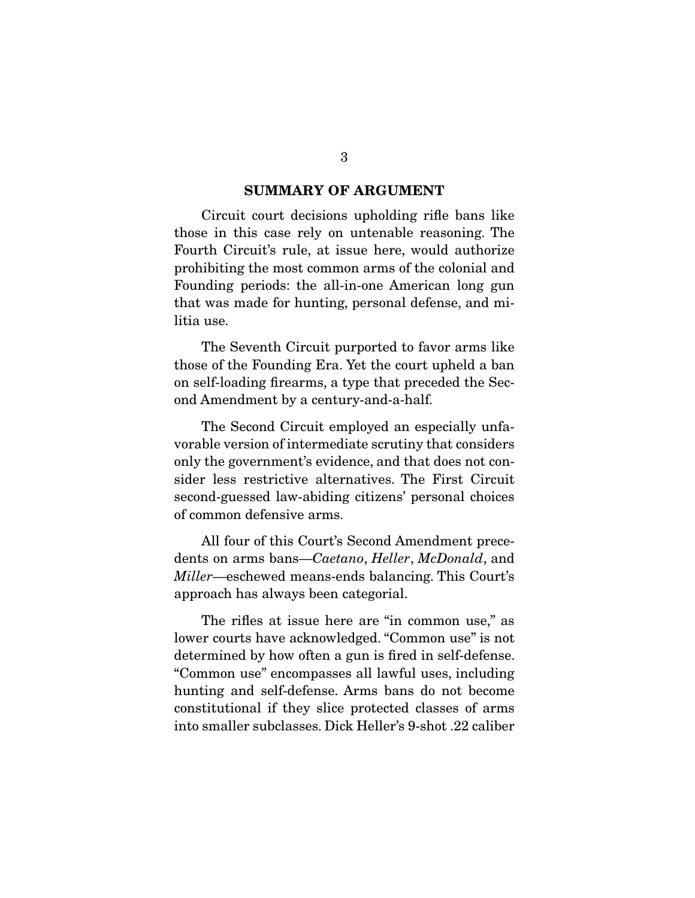#### **SUMMARY OF ARGUMENT**

Circuit court decisions upholding rifle bans like those in this case rely on untenable reasoning. The Fourth Circuit's rule, at issue here, would authorize prohibiting the most common arms of the colonial and Founding periods: the all-in-one American long gun that was made for hunting, personal defense, and militia use.

 The Seventh Circuit purported to favor arms like those of the Founding Era. Yet the court upheld a ban on self-loading firearms, a type that preceded the Second Amendment by a century-and-a-half.

 The Second Circuit employed an especially unfavorable version of intermediate scrutiny that considers only the government's evidence, and that does not consider less restrictive alternatives. The First Circuit second-guessed law-abiding citizens' personal choices of common defensive arms.

 All four of this Court's Second Amendment precedents on arms bans—*Caetano*, *Heller*, *McDonald*, and *Miller*—eschewed means-ends balancing. This Court's approach has always been categorial.

 The rifles at issue here are "in common use," as lower courts have acknowledged. "Common use" is not determined by how often a gun is fired in self-defense. "Common use" encompasses all lawful uses, including hunting and self-defense. Arms bans do not become constitutional if they slice protected classes of arms into smaller subclasses. Dick Heller's 9-shot .22 caliber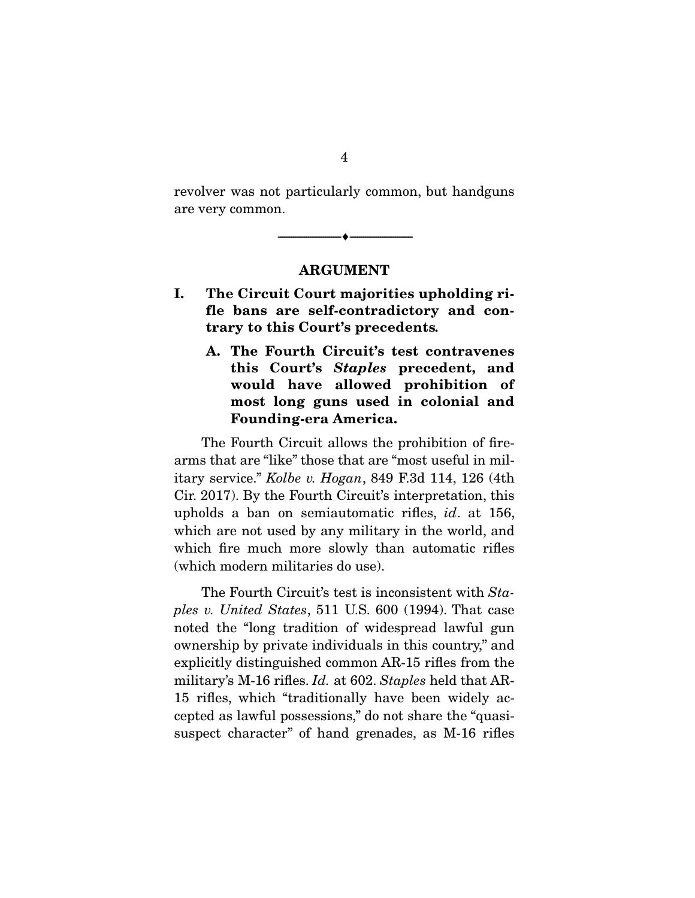revolver was not particularly common, but handguns are very common.

 $\overbrace{\hspace{2.5cm}}^{\bullet}$   $\overbrace{\hspace{2.5cm}}^{\bullet}$ 

#### **ARGUMENT**

- **I. The Circuit Court majorities upholding rifle bans are self-contradictory and contrary to this Court's precedents***.*
	- **A. The Fourth Circuit's test contravenes this Court's** *Staples* **precedent, and would have allowed prohibition of most long guns used in colonial and Founding-era America.**

The Fourth Circuit allows the prohibition of firearms that are "like" those that are "most useful in military service." *Kolbe v. Hogan*, 849 F.3d 114, 126 (4th Cir. 2017). By the Fourth Circuit's interpretation, this upholds a ban on semiautomatic rifles, *id*. at 156, which are not used by any military in the world, and which fire much more slowly than automatic rifles (which modern militaries do use).

 The Fourth Circuit's test is inconsistent with *Staples v. United States*, 511 U.S. 600 (1994). That case noted the "long tradition of widespread lawful gun ownership by private individuals in this country," and explicitly distinguished common AR-15 rifles from the military's M-16 rifles. *Id.* at 602. *Staples* held that AR-15 rifles, which "traditionally have been widely accepted as lawful possessions," do not share the "quasisuspect character" of hand grenades, as M-16 rifles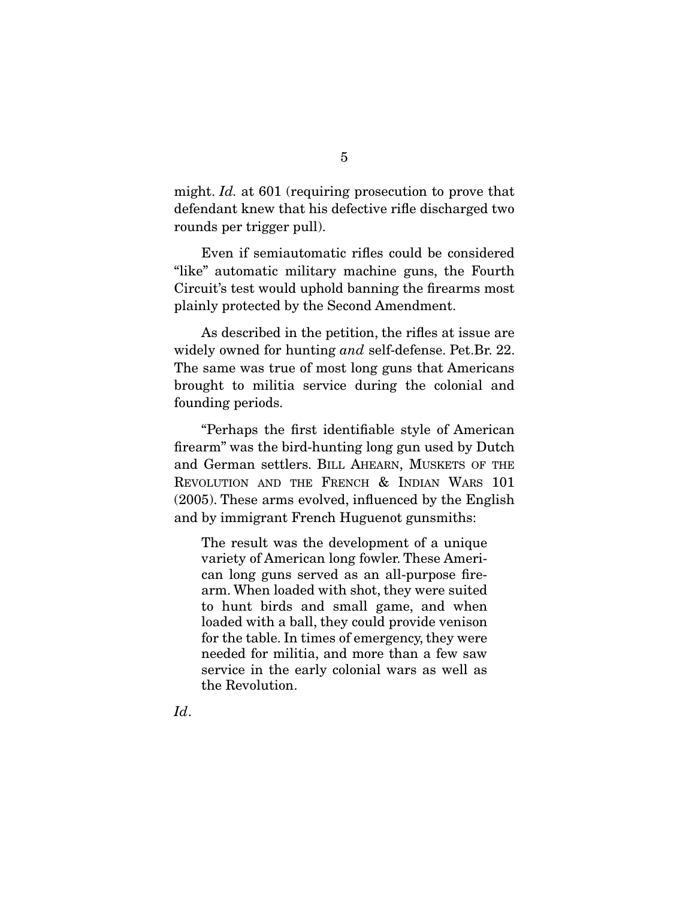might. *Id.* at 601 (requiring prosecution to prove that defendant knew that his defective rifle discharged two rounds per trigger pull).

 Even if semiautomatic rifles could be considered "like" automatic military machine guns, the Fourth Circuit's test would uphold banning the firearms most plainly protected by the Second Amendment.

 As described in the petition, the rifles at issue are widely owned for hunting *and* self-defense. Pet.Br. 22. The same was true of most long guns that Americans brought to militia service during the colonial and founding periods.

 "Perhaps the first identifiable style of American firearm" was the bird-hunting long gun used by Dutch and German settlers. BILL AHEARN, MUSKETS OF THE REVOLUTION AND THE FRENCH & INDIAN WARS 101 (2005). These arms evolved, influenced by the English and by immigrant French Huguenot gunsmiths:

The result was the development of a unique variety of American long fowler. These American long guns served as an all-purpose firearm. When loaded with shot, they were suited to hunt birds and small game, and when loaded with a ball, they could provide venison for the table. In times of emergency, they were needed for militia, and more than a few saw service in the early colonial wars as well as the Revolution.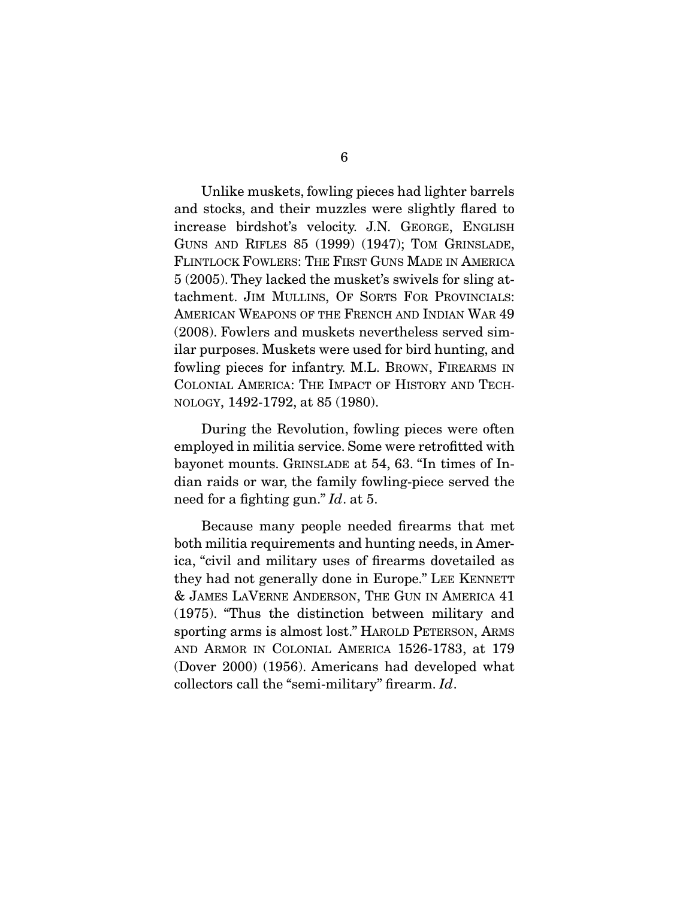Unlike muskets, fowling pieces had lighter barrels and stocks, and their muzzles were slightly flared to increase birdshot's velocity. J.N. GEORGE, ENGLISH GUNS AND RIFLES 85 (1999) (1947); TOM GRINSLADE, FLINTLOCK FOWLERS: THE FIRST GUNS MADE IN AMERICA 5 (2005). They lacked the musket's swivels for sling attachment. JIM MULLINS, OF SORTS FOR PROVINCIALS: AMERICAN WEAPONS OF THE FRENCH AND INDIAN WAR 49 (2008). Fowlers and muskets nevertheless served similar purposes. Muskets were used for bird hunting, and fowling pieces for infantry. M.L. BROWN, FIREARMS IN COLONIAL AMERICA: THE IMPACT OF HISTORY AND TECH-NOLOGY, 1492-1792, at 85 (1980).

 During the Revolution, fowling pieces were often employed in militia service. Some were retrofitted with bayonet mounts. GRINSLADE at 54, 63. "In times of Indian raids or war, the family fowling-piece served the need for a fighting gun." *Id*. at 5.

 Because many people needed firearms that met both militia requirements and hunting needs, in America, "civil and military uses of firearms dovetailed as they had not generally done in Europe." LEE KENNETT & JAMES LAVERNE ANDERSON, THE GUN IN AMERICA 41 (1975). "Thus the distinction between military and sporting arms is almost lost." HAROLD PETERSON, ARMS AND ARMOR IN COLONIAL AMERICA 1526-1783, at 179 (Dover 2000) (1956). Americans had developed what collectors call the "semi-military" firearm. *Id*.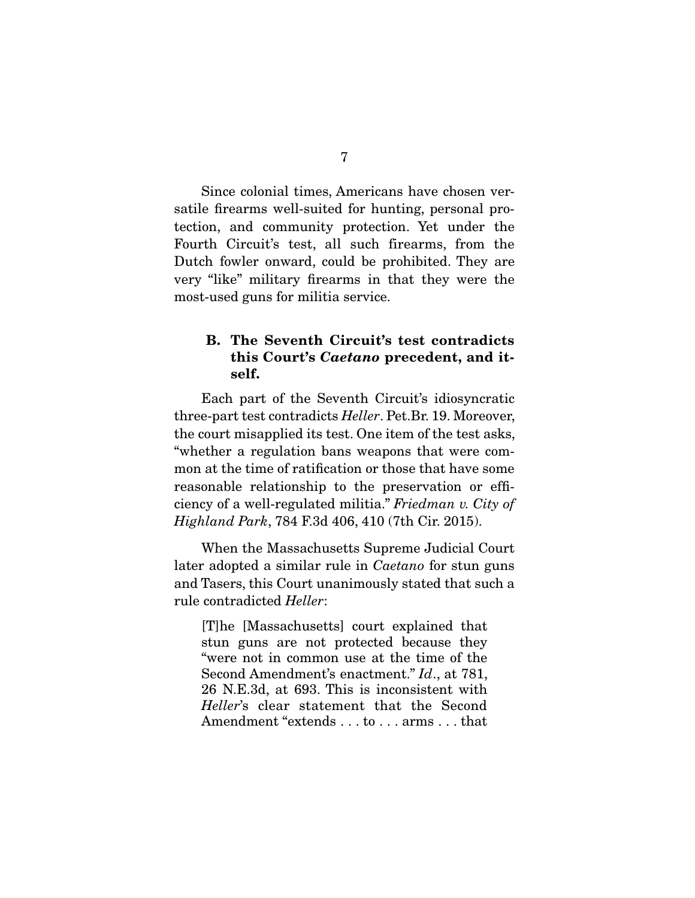Since colonial times, Americans have chosen versatile firearms well-suited for hunting, personal protection, and community protection. Yet under the Fourth Circuit's test, all such firearms, from the Dutch fowler onward, could be prohibited. They are very "like" military firearms in that they were the most-used guns for militia service.

### **B. The Seventh Circuit's test contradicts this Court's** *Caetano* **precedent, and itself.**

Each part of the Seventh Circuit's idiosyncratic three-part test contradicts *Heller*. Pet.Br. 19. Moreover, the court misapplied its test. One item of the test asks, "whether a regulation bans weapons that were common at the time of ratification or those that have some reasonable relationship to the preservation or efficiency of a well-regulated militia." *Friedman v. City of Highland Park*, 784 F.3d 406, 410 (7th Cir. 2015).

 When the Massachusetts Supreme Judicial Court later adopted a similar rule in *Caetano* for stun guns and Tasers, this Court unanimously stated that such a rule contradicted *Heller*:

[T]he [Massachusetts] court explained that stun guns are not protected because they "were not in common use at the time of the Second Amendment's enactment." *Id*., at 781, 26 N.E.3d, at 693. This is inconsistent with *Heller*'s clear statement that the Second Amendment "extends . . . to . . . arms . . . that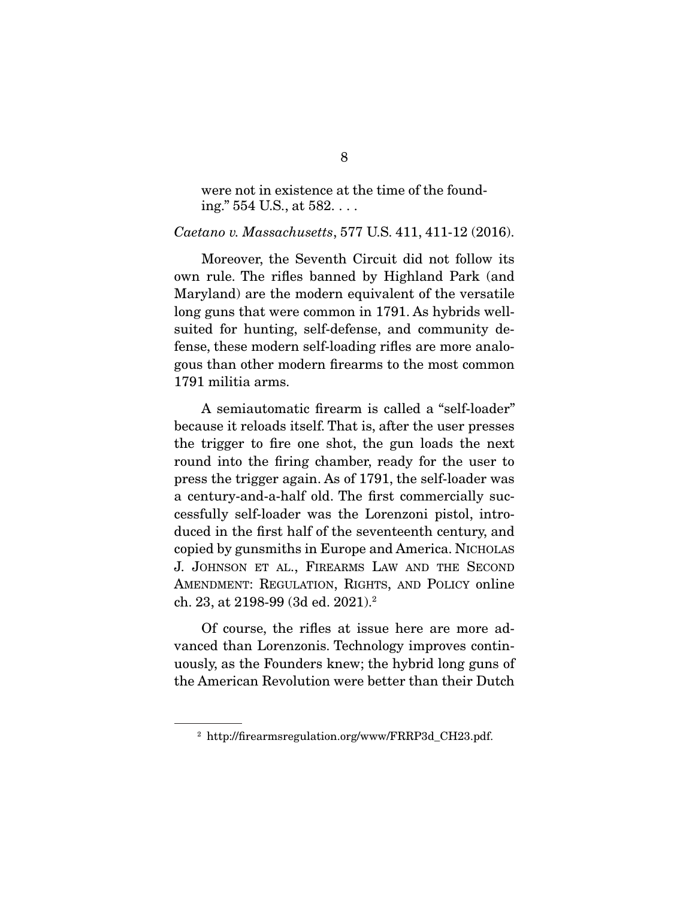were not in existence at the time of the founding." 554 U.S., at 582. . . .

#### *Caetano v. Massachusetts*, 577 U.S. 411, 411-12 (2016).

 Moreover, the Seventh Circuit did not follow its own rule. The rifles banned by Highland Park (and Maryland) are the modern equivalent of the versatile long guns that were common in 1791. As hybrids wellsuited for hunting, self-defense, and community defense, these modern self-loading rifles are more analogous than other modern firearms to the most common 1791 militia arms.

 A semiautomatic firearm is called a "self-loader" because it reloads itself. That is, after the user presses the trigger to fire one shot, the gun loads the next round into the firing chamber, ready for the user to press the trigger again. As of 1791, the self-loader was a century-and-a-half old. The first commercially successfully self-loader was the Lorenzoni pistol, introduced in the first half of the seventeenth century, and copied by gunsmiths in Europe and America. NICHOLAS J. JOHNSON ET AL., FIREARMS LAW AND THE SECOND AMENDMENT: REGULATION, RIGHTS, AND POLICY online ch. 23, at 2198-99 (3d ed. 2021).2

 Of course, the rifles at issue here are more advanced than Lorenzonis. Technology improves continuously, as the Founders knew; the hybrid long guns of the American Revolution were better than their Dutch

<sup>&</sup>lt;sup>2</sup> http://firearmsregulation.org/www/FRRP3d CH23.pdf.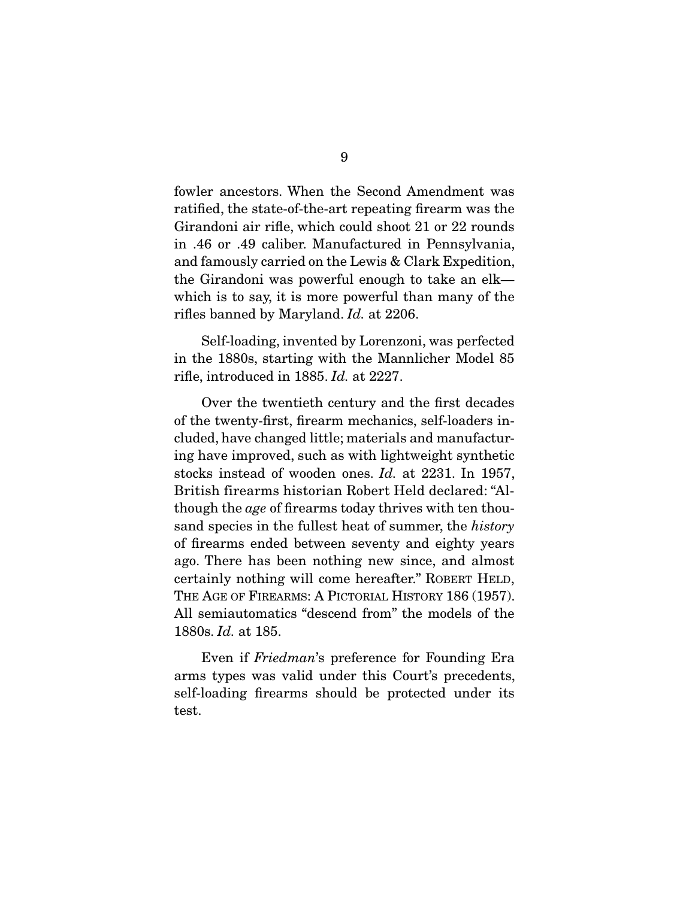fowler ancestors. When the Second Amendment was ratified, the state-of-the-art repeating firearm was the Girandoni air rifle, which could shoot 21 or 22 rounds in .46 or .49 caliber. Manufactured in Pennsylvania, and famously carried on the Lewis & Clark Expedition, the Girandoni was powerful enough to take an elk which is to say, it is more powerful than many of the rifles banned by Maryland. *Id.* at 2206.

 Self-loading, invented by Lorenzoni, was perfected in the 1880s, starting with the Mannlicher Model 85 rifle, introduced in 1885. *Id.* at 2227.

 Over the twentieth century and the first decades of the twenty-first, firearm mechanics, self-loaders included, have changed little; materials and manufacturing have improved, such as with lightweight synthetic stocks instead of wooden ones. *Id.* at 2231. In 1957, British firearms historian Robert Held declared: "Although the *age* of firearms today thrives with ten thousand species in the fullest heat of summer, the *history*  of firearms ended between seventy and eighty years ago. There has been nothing new since, and almost certainly nothing will come hereafter." ROBERT HELD, THE AGE OF FIREARMS: A PICTORIAL HISTORY 186 (1957). All semiautomatics "descend from" the models of the 1880s. *Id.* at 185.

 Even if *Friedman*'s preference for Founding Era arms types was valid under this Court's precedents, self-loading firearms should be protected under its test.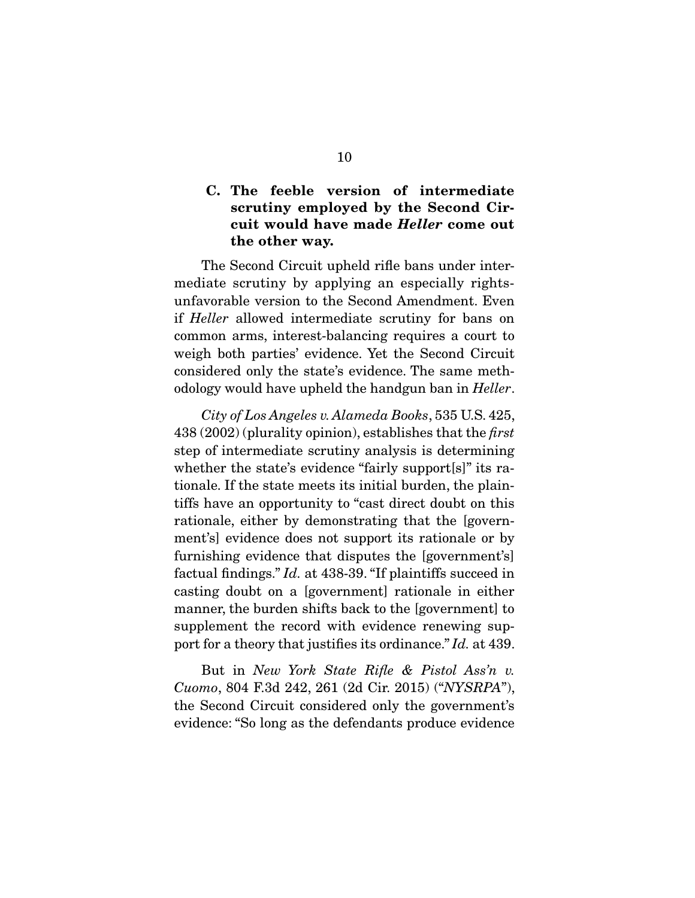#### **C. The feeble version of intermediate scrutiny employed by the Second Circuit would have made** *Heller* **come out the other way.**

The Second Circuit upheld rifle bans under intermediate scrutiny by applying an especially rightsunfavorable version to the Second Amendment. Even if *Heller* allowed intermediate scrutiny for bans on common arms, interest-balancing requires a court to weigh both parties' evidence. Yet the Second Circuit considered only the state's evidence. The same methodology would have upheld the handgun ban in *Heller*.

*City of Los Angeles v. Alameda Books*, 535 U.S. 425, 438 (2002) (plurality opinion), establishes that the *first*  step of intermediate scrutiny analysis is determining whether the state's evidence "fairly support[s]" its rationale. If the state meets its initial burden, the plaintiffs have an opportunity to "cast direct doubt on this rationale, either by demonstrating that the [government's] evidence does not support its rationale or by furnishing evidence that disputes the [government's] factual findings." *Id.* at 438-39. "If plaintiffs succeed in casting doubt on a [government] rationale in either manner, the burden shifts back to the [government] to supplement the record with evidence renewing support for a theory that justifies its ordinance." *Id.* at 439.

 But in *New York State Rifle & Pistol Ass'n v. Cuomo*, 804 F.3d 242, 261 (2d Cir. 2015) ("*NYSRPA*"), the Second Circuit considered only the government's evidence: "So long as the defendants produce evidence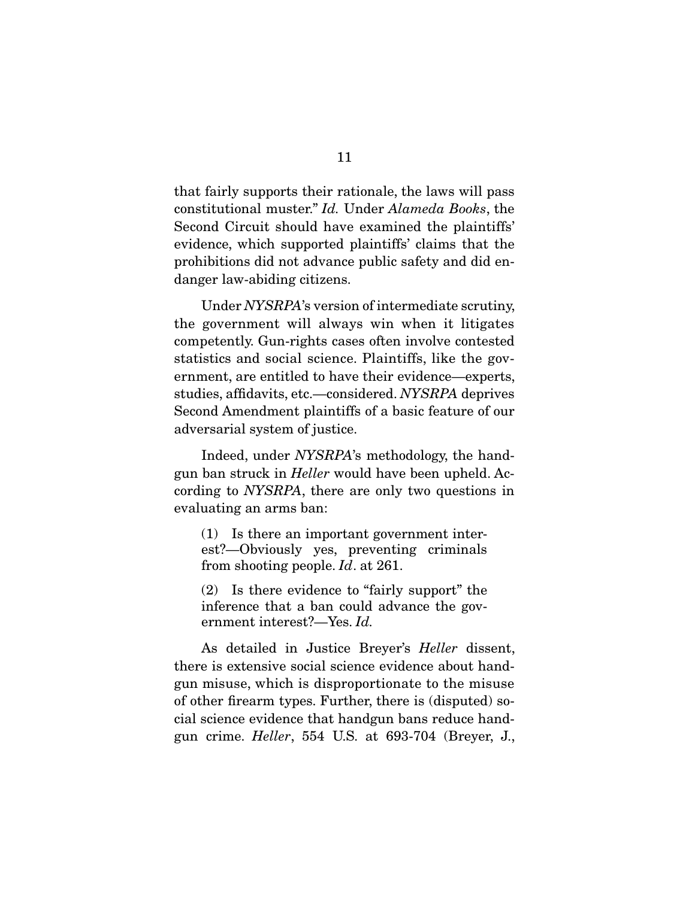that fairly supports their rationale, the laws will pass constitutional muster." *Id.* Under *Alameda Books*, the Second Circuit should have examined the plaintiffs' evidence, which supported plaintiffs' claims that the prohibitions did not advance public safety and did endanger law-abiding citizens.

 Under *NYSRPA*'s version of intermediate scrutiny, the government will always win when it litigates competently. Gun-rights cases often involve contested statistics and social science. Plaintiffs, like the government, are entitled to have their evidence—experts, studies, affidavits, etc.—considered. *NYSRPA* deprives Second Amendment plaintiffs of a basic feature of our adversarial system of justice.

 Indeed, under *NYSRPA*'s methodology, the handgun ban struck in *Heller* would have been upheld. According to *NYSRPA*, there are only two questions in evaluating an arms ban:

(1) Is there an important government interest?—Obviously yes, preventing criminals from shooting people. *Id*. at 261.

(2) Is there evidence to "fairly support" the inference that a ban could advance the government interest?—Yes. *Id.* 

As detailed in Justice Breyer's *Heller* dissent, there is extensive social science evidence about handgun misuse, which is disproportionate to the misuse of other firearm types. Further, there is (disputed) social science evidence that handgun bans reduce handgun crime. *Heller*, 554 U.S. at 693-704 (Breyer, J.,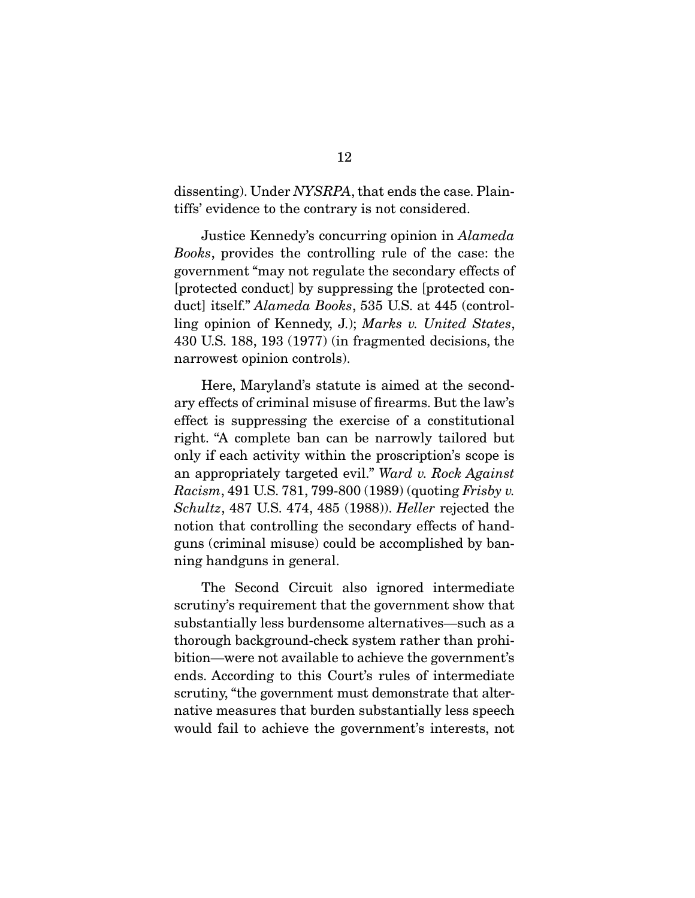dissenting). Under *NYSRPA*, that ends the case. Plaintiffs' evidence to the contrary is not considered.

 Justice Kennedy's concurring opinion in *Alameda Books*, provides the controlling rule of the case: the government "may not regulate the secondary effects of [protected conduct] by suppressing the [protected conduct] itself." *Alameda Books*, 535 U.S. at 445 (controlling opinion of Kennedy, J.); *Marks v. United States*, 430 U.S. 188, 193 (1977) (in fragmented decisions, the narrowest opinion controls).

 Here, Maryland's statute is aimed at the secondary effects of criminal misuse of firearms. But the law's effect is suppressing the exercise of a constitutional right. "A complete ban can be narrowly tailored but only if each activity within the proscription's scope is an appropriately targeted evil." *Ward v. Rock Against Racism*, 491 U.S. 781, 799-800 (1989) (quoting *Frisby v. Schultz*, 487 U.S. 474, 485 (1988)). *Heller* rejected the notion that controlling the secondary effects of handguns (criminal misuse) could be accomplished by banning handguns in general.

 The Second Circuit also ignored intermediate scrutiny's requirement that the government show that substantially less burdensome alternatives—such as a thorough background-check system rather than prohibition—were not available to achieve the government's ends. According to this Court's rules of intermediate scrutiny, "the government must demonstrate that alternative measures that burden substantially less speech would fail to achieve the government's interests, not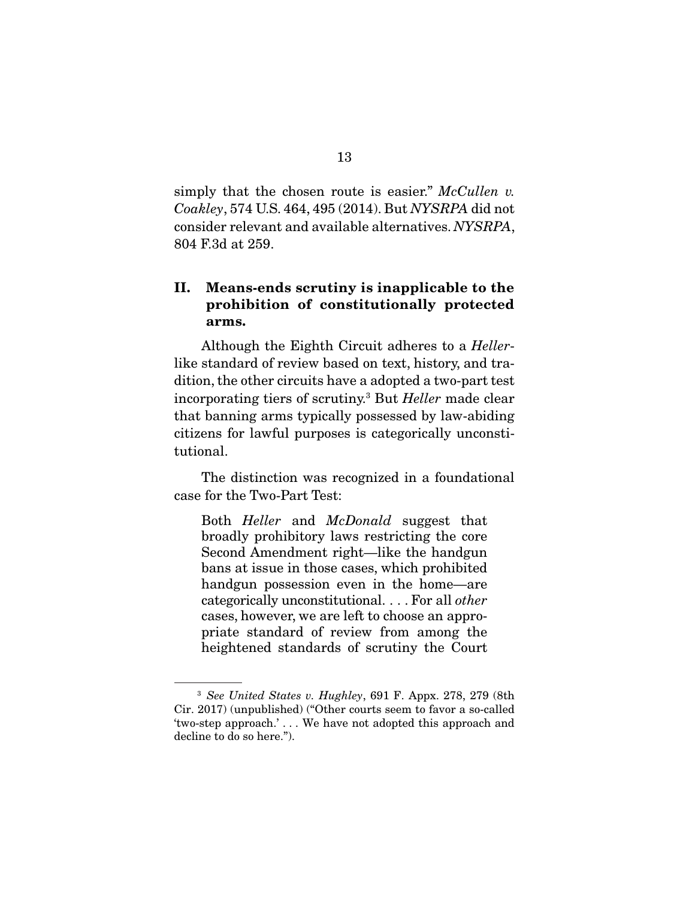simply that the chosen route is easier." *McCullen v. Coakley*, 574 U.S. 464, 495 (2014). But *NYSRPA* did not consider relevant and available alternatives. *NYSRPA*, 804 F.3d at 259.

### **II. Means-ends scrutiny is inapplicable to the prohibition of constitutionally protected arms.**

Although the Eighth Circuit adheres to a *Heller*like standard of review based on text, history, and tradition, the other circuits have a adopted a two-part test incorporating tiers of scrutiny.3 But *Heller* made clear that banning arms typically possessed by law-abiding citizens for lawful purposes is categorically unconstitutional.

 The distinction was recognized in a foundational case for the Two-Part Test:

Both *Heller* and *McDonald* suggest that broadly prohibitory laws restricting the core Second Amendment right—like the handgun bans at issue in those cases, which prohibited handgun possession even in the home—are categorically unconstitutional. . . . For all *other*  cases, however, we are left to choose an appropriate standard of review from among the heightened standards of scrutiny the Court

<sup>3</sup> *See United States v. Hughley*, 691 F. Appx. 278, 279 (8th Cir. 2017) (unpublished) ("Other courts seem to favor a so-called 'two-step approach.' . . . We have not adopted this approach and decline to do so here.").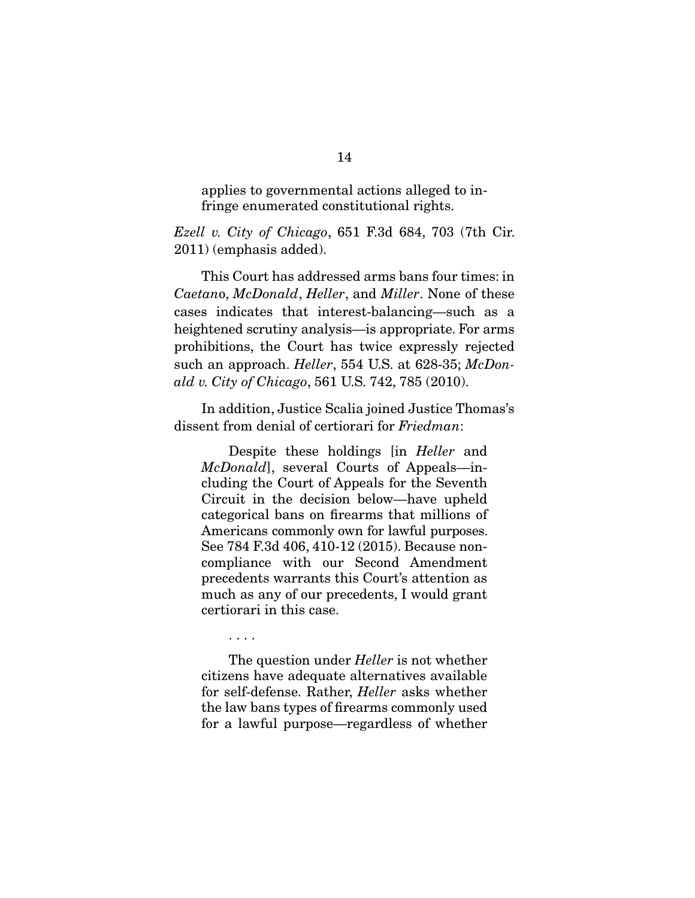applies to governmental actions alleged to infringe enumerated constitutional rights.

*Ezell v. City of Chicago*, 651 F.3d 684, 703 (7th Cir. 2011) (emphasis added).

 This Court has addressed arms bans four times: in *Caetan*o, *McDonald*, *Heller*, and *Miller*. None of these cases indicates that interest-balancing—such as a heightened scrutiny analysis—is appropriate. For arms prohibitions, the Court has twice expressly rejected such an approach. *Heller*, 554 U.S. at 628-35; *McDonald v. City of Chicago*, 561 U.S. 742, 785 (2010).

 In addition, Justice Scalia joined Justice Thomas's dissent from denial of certiorari for *Friedman*:

 Despite these holdings [in *Heller* and *McDonald*], several Courts of Appeals—including the Court of Appeals for the Seventh Circuit in the decision below—have upheld categorical bans on firearms that millions of Americans commonly own for lawful purposes. See 784 F.3d 406, 410-12 (2015). Because noncompliance with our Second Amendment precedents warrants this Court's attention as much as any of our precedents, I would grant certiorari in this case.

 The question under *Heller* is not whether citizens have adequate alternatives available for self-defense. Rather, *Heller* asks whether the law bans types of firearms commonly used for a lawful purpose—regardless of whether

. . . .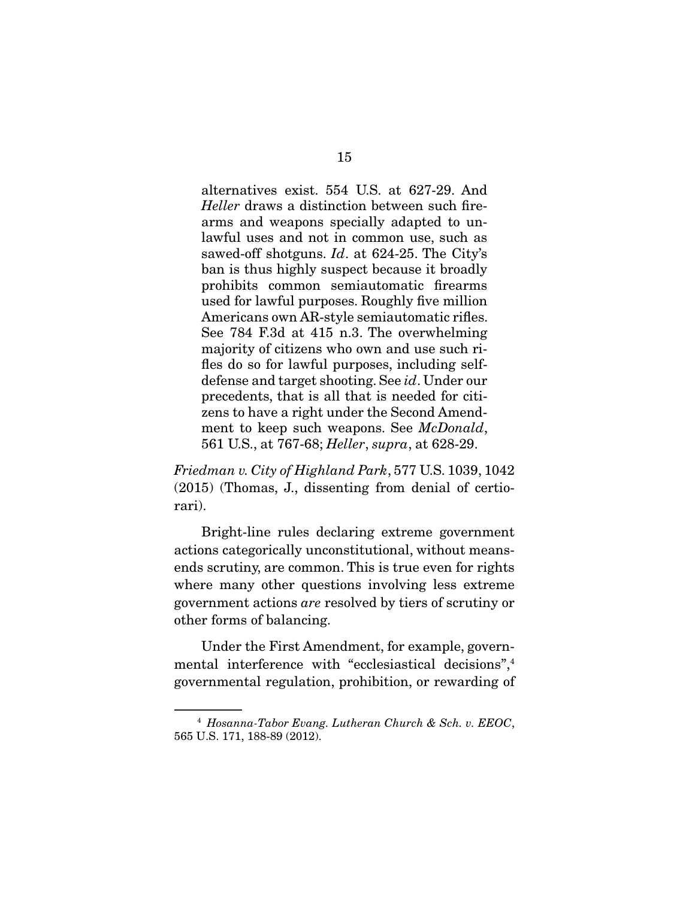alternatives exist. 554 U.S. at 627-29. And *Heller* draws a distinction between such firearms and weapons specially adapted to unlawful uses and not in common use, such as sawed-off shotguns. *Id*. at 624-25. The City's ban is thus highly suspect because it broadly prohibits common semiautomatic firearms used for lawful purposes. Roughly five million Americans own AR-style semiautomatic rifles. See 784 F.3d at 415 n.3. The overwhelming majority of citizens who own and use such rifles do so for lawful purposes, including selfdefense and target shooting. See *id*. Under our precedents, that is all that is needed for citizens to have a right under the Second Amendment to keep such weapons. See *McDonald*, 561 U.S., at 767-68; *Heller*, *supra*, at 628-29.

*Friedman v. City of Highland Park*, 577 U.S. 1039, 1042 (2015) (Thomas, J., dissenting from denial of certiorari).

 Bright-line rules declaring extreme government actions categorically unconstitutional, without meansends scrutiny, are common. This is true even for rights where many other questions involving less extreme government actions *are* resolved by tiers of scrutiny or other forms of balancing.

 Under the First Amendment, for example, governmental interference with "ecclesiastical decisions",<sup>4</sup> governmental regulation, prohibition, or rewarding of

<sup>4</sup> *Hosanna-Tabor Evang. Lutheran Church & Sch. v. EEOC*, 565 U.S. 171, 188-89 (2012).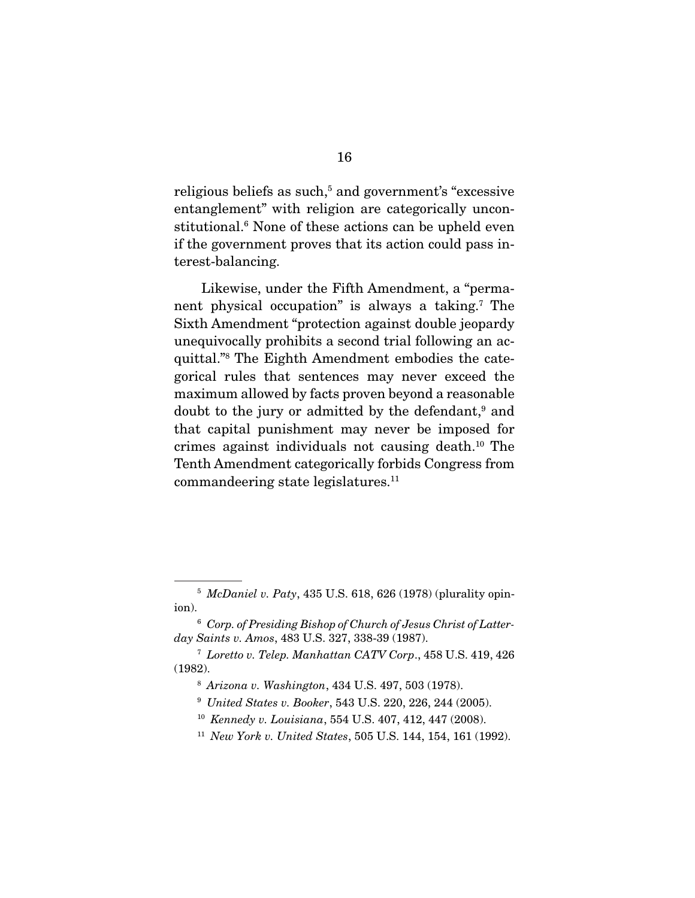religious beliefs as such,<sup>5</sup> and government's "excessive entanglement" with religion are categorically unconstitutional.<sup>6</sup> None of these actions can be upheld even if the government proves that its action could pass interest-balancing.

 Likewise, under the Fifth Amendment, a "permanent physical occupation" is always a taking.7 The Sixth Amendment "protection against double jeopardy unequivocally prohibits a second trial following an acquittal."8 The Eighth Amendment embodies the categorical rules that sentences may never exceed the maximum allowed by facts proven beyond a reasonable doubt to the jury or admitted by the defendant,<sup>9</sup> and that capital punishment may never be imposed for crimes against individuals not causing death.10 The Tenth Amendment categorically forbids Congress from commandeering state legislatures.<sup>11</sup>

<sup>5</sup> *McDaniel v. Paty*, 435 U.S. 618, 626 (1978) (plurality opinion).

<sup>6</sup> *Corp. of Presiding Bishop of Church of Jesus Christ of Latterday Saints v. Amos*, 483 U.S. 327, 338-39 (1987).

<sup>7</sup> *Loretto v. Telep. Manhattan CATV Corp*., 458 U.S. 419, 426 (1982).

<sup>8</sup> *Arizona v. Washington*, 434 U.S. 497, 503 (1978).

<sup>9</sup> *United States v. Booker*, 543 U.S. 220, 226, 244 (2005).

<sup>10</sup> *Kennedy v. Louisiana*, 554 U.S. 407, 412, 447 (2008).

<sup>11</sup> *New York v. United States*, 505 U.S. 144, 154, 161 (1992).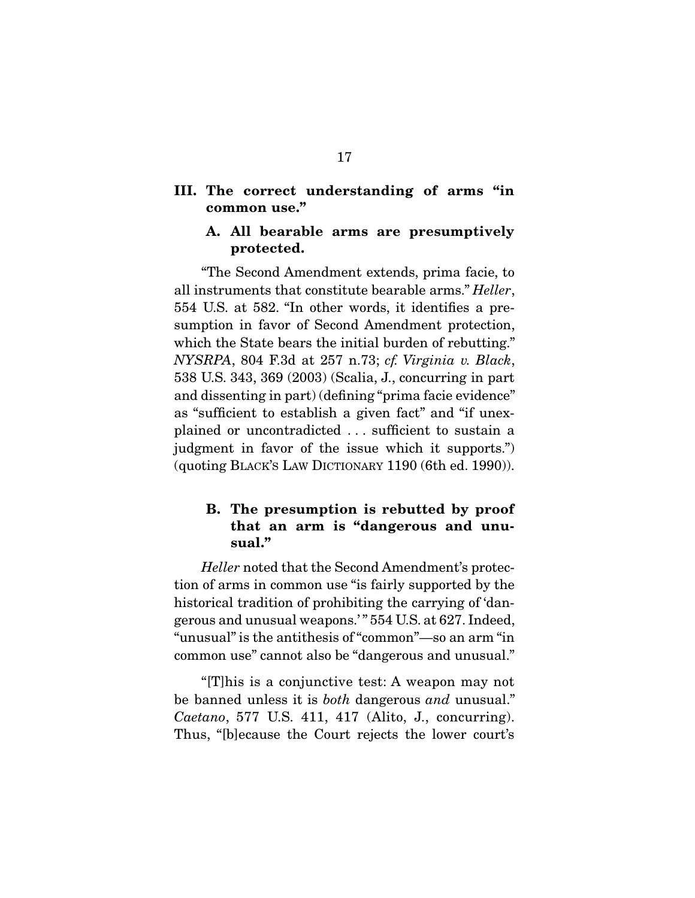#### **III. The correct understanding of arms "in common use."**

#### **A. All bearable arms are presumptively protected.**

 "The Second Amendment extends, prima facie, to all instruments that constitute bearable arms." *Heller*, 554 U.S. at 582. "In other words, it identifies a presumption in favor of Second Amendment protection, which the State bears the initial burden of rebutting." *NYSRPA*, 804 F.3d at 257 n.73; *cf. Virginia v. Black*, 538 U.S. 343, 369 (2003) (Scalia, J., concurring in part and dissenting in part) (defining "prima facie evidence" as "sufficient to establish a given fact" and "if unexplained or uncontradicted . . . sufficient to sustain a judgment in favor of the issue which it supports.") (quoting BLACK'S LAW DICTIONARY 1190 (6th ed. 1990)).

#### **B. The presumption is rebutted by proof that an arm is "dangerous and unusual."**

*Heller* noted that the Second Amendment's protection of arms in common use "is fairly supported by the historical tradition of prohibiting the carrying of 'dangerous and unusual weapons.' " 554 U.S. at 627. Indeed, "unusual" is the antithesis of "common"—so an arm "in common use" cannot also be "dangerous and unusual."

 "[T]his is a conjunctive test: A weapon may not be banned unless it is *both* dangerous *and* unusual." *Caetano*, 577 U.S. 411, 417 (Alito, J., concurring). Thus, "[b]ecause the Court rejects the lower court's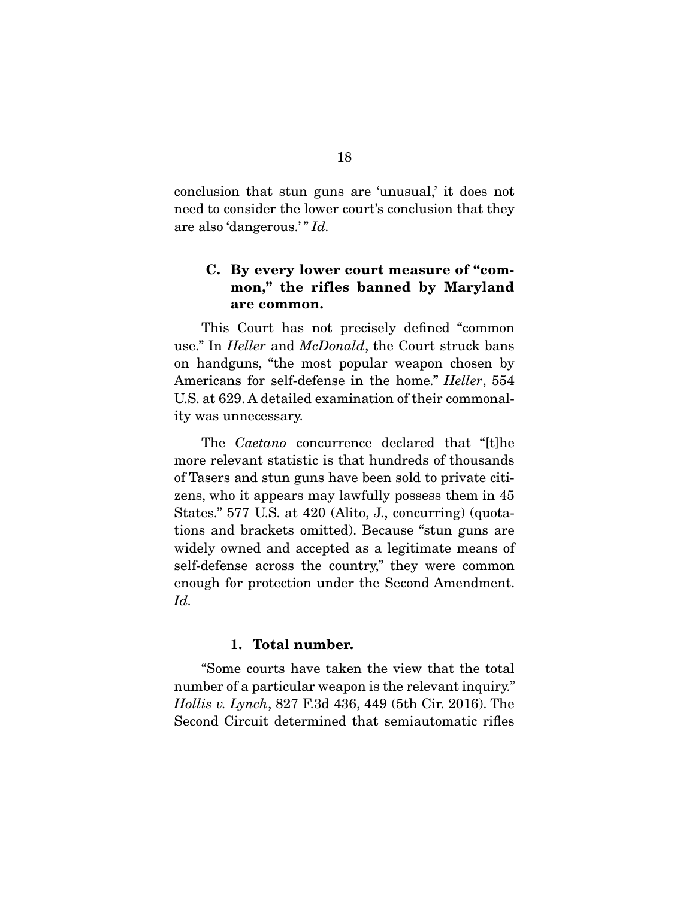conclusion that stun guns are 'unusual,' it does not need to consider the lower court's conclusion that they are also 'dangerous.'" *Id.* 

### **C. By every lower court measure of "common," the rifles banned by Maryland are common.**

This Court has not precisely defined "common use." In *Heller* and *McDonald*, the Court struck bans on handguns, "the most popular weapon chosen by Americans for self-defense in the home." *Heller*, 554 U.S. at 629. A detailed examination of their commonality was unnecessary.

 The *Caetano* concurrence declared that "[t]he more relevant statistic is that hundreds of thousands of Tasers and stun guns have been sold to private citizens, who it appears may lawfully possess them in 45 States." 577 U.S. at 420 (Alito, J., concurring) (quotations and brackets omitted). Because "stun guns are widely owned and accepted as a legitimate means of self-defense across the country," they were common enough for protection under the Second Amendment. *Id.*

#### **1. Total number.**

 "Some courts have taken the view that the total number of a particular weapon is the relevant inquiry." *Hollis v. Lynch*, 827 F.3d 436, 449 (5th Cir. 2016). The Second Circuit determined that semiautomatic rifles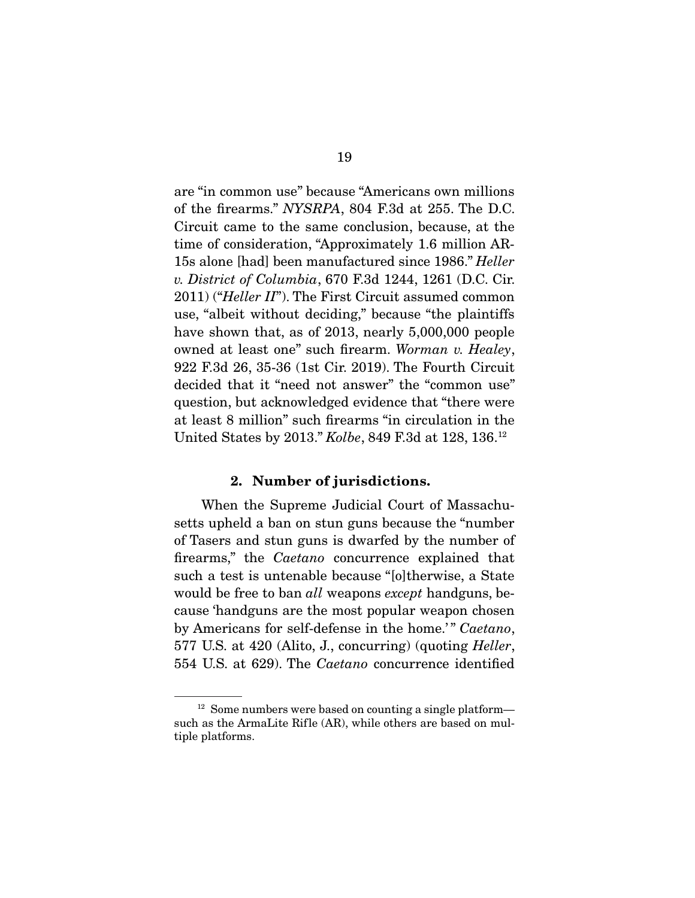are "in common use" because "Americans own millions of the firearms." *NYSRPA*, 804 F.3d at 255. The D.C. Circuit came to the same conclusion, because, at the time of consideration, "Approximately 1.6 million AR-15s alone [had] been manufactured since 1986." *Heller v. District of Columbia*, 670 F.3d 1244, 1261 (D.C. Cir. 2011) ("*Heller II*"). The First Circuit assumed common use, "albeit without deciding," because "the plaintiffs have shown that, as of 2013, nearly 5,000,000 people owned at least one" such firearm. *Worman v. Healey*, 922 F.3d 26, 35-36 (1st Cir. 2019). The Fourth Circuit decided that it "need not answer" the "common use" question, but acknowledged evidence that "there were at least 8 million" such firearms "in circulation in the United States by 2013." *Kolbe*, 849 F.3d at 128, 136.12

#### **2. Number of jurisdictions.**

When the Supreme Judicial Court of Massachusetts upheld a ban on stun guns because the "number of Tasers and stun guns is dwarfed by the number of firearms," the *Caetano* concurrence explained that such a test is untenable because "[o]therwise, a State would be free to ban *all* weapons *except* handguns, because 'handguns are the most popular weapon chosen by Americans for self-defense in the home.'" Caetano, 577 U.S. at 420 (Alito, J., concurring) (quoting *Heller*, 554 U.S. at 629). The *Caetano* concurrence identified

<sup>12</sup> Some numbers were based on counting a single platform such as the ArmaLite Rifle (AR), while others are based on multiple platforms.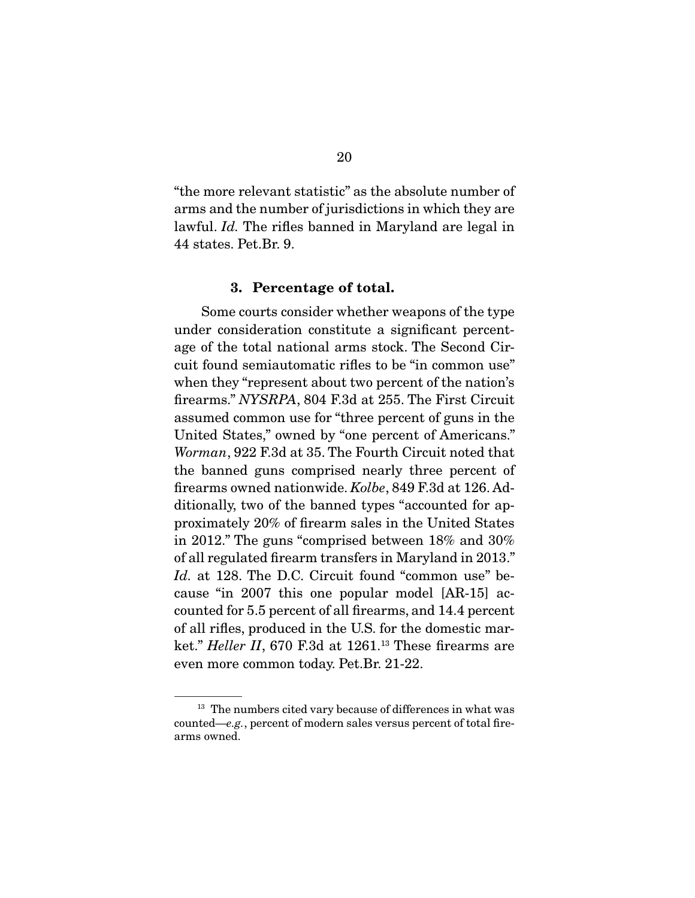"the more relevant statistic" as the absolute number of arms and the number of jurisdictions in which they are lawful. *Id.* The rifles banned in Maryland are legal in 44 states. Pet.Br. 9.

#### **3. Percentage of total.**

Some courts consider whether weapons of the type under consideration constitute a significant percentage of the total national arms stock. The Second Circuit found semiautomatic rifles to be "in common use" when they "represent about two percent of the nation's firearms." *NYSRPA*, 804 F.3d at 255. The First Circuit assumed common use for "three percent of guns in the United States," owned by "one percent of Americans." *Worman*, 922 F.3d at 35. The Fourth Circuit noted that the banned guns comprised nearly three percent of firearms owned nationwide. *Kolbe*, 849 F.3d at 126. Additionally, two of the banned types "accounted for approximately 20% of firearm sales in the United States in 2012." The guns "comprised between 18% and 30% of all regulated firearm transfers in Maryland in 2013." *Id.* at 128. The D.C. Circuit found "common use" because "in 2007 this one popular model [AR-15] accounted for 5.5 percent of all firearms, and 14.4 percent of all rifles, produced in the U.S. for the domestic market." *Heller II*, 670 F.3d at 1261.<sup>13</sup> These firearms are even more common today. Pet.Br. 21-22.

<sup>&</sup>lt;sup>13</sup> The numbers cited vary because of differences in what was counted—*e.g.*, percent of modern sales versus percent of total firearms owned.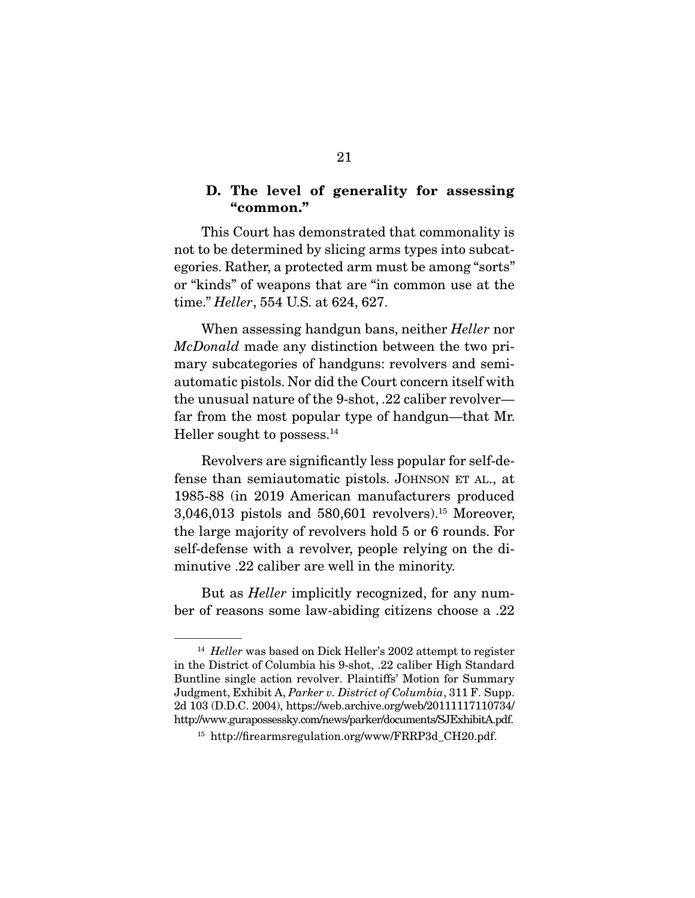#### **D. The level of generality for assessing "common."**

This Court has demonstrated that commonality is not to be determined by slicing arms types into subcategories. Rather, a protected arm must be among "sorts" or "kinds" of weapons that are "in common use at the time." *Heller*, 554 U.S. at 624, 627.

 When assessing handgun bans, neither *Heller* nor *McDonald* made any distinction between the two primary subcategories of handguns: revolvers and semiautomatic pistols. Nor did the Court concern itself with the unusual nature of the 9-shot, .22 caliber revolver far from the most popular type of handgun—that Mr. Heller sought to possess.14

 Revolvers are significantly less popular for self-defense than semiautomatic pistols. JOHNSON ET AL., at 1985-88 (in 2019 American manufacturers produced  $3,046,013$  pistols and  $580,601$  revolvers).<sup>15</sup> Moreover, the large majority of revolvers hold 5 or 6 rounds. For self-defense with a revolver, people relying on the diminutive .22 caliber are well in the minority.

 But as *Heller* implicitly recognized, for any number of reasons some law-abiding citizens choose a .22

<sup>&</sup>lt;sup>14</sup> *Heller* was based on Dick Heller's 2002 attempt to register in the District of Columbia his 9-shot, .22 caliber High Standard Buntline single action revolver. Plaintiffs' Motion for Summary Judgment, Exhibit A, *Parker v. District of Columbia*, 311 F. Supp. 2d 103 (D.D.C. 2004), https://web.archive.org/web/20111117110734/ http://www.gurapossessky.com/news/parker/documents/SJExhibitA.pdf.

<sup>&</sup>lt;sup>15</sup> http://firearmsregulation.org/www/FRRP3d CH20.pdf.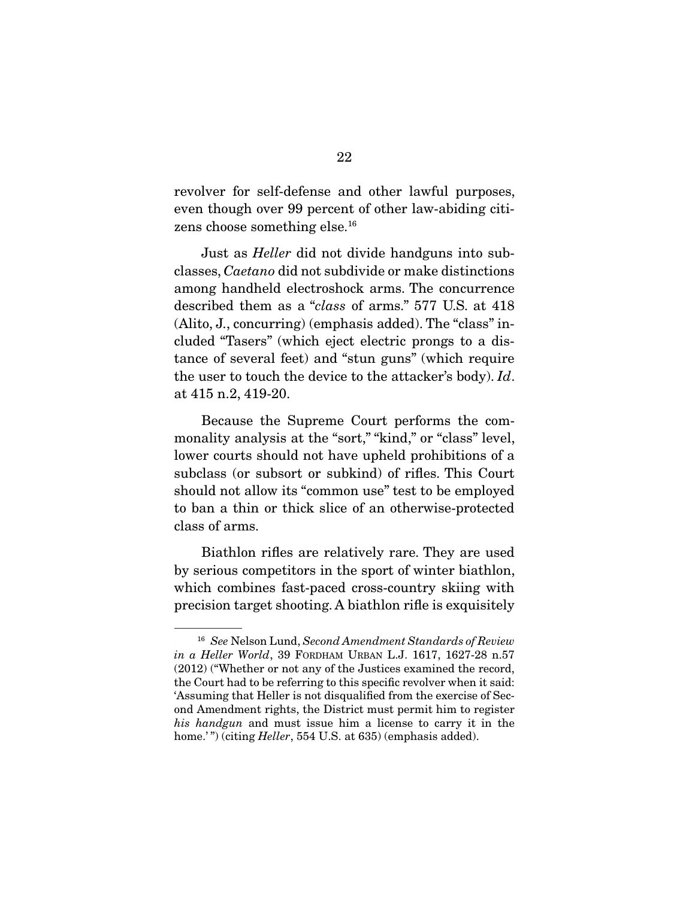revolver for self-defense and other lawful purposes, even though over 99 percent of other law-abiding citizens choose something else.16

 Just as *Heller* did not divide handguns into subclasses, *Caetano* did not subdivide or make distinctions among handheld electroshock arms. The concurrence described them as a "*class* of arms." 577 U.S. at 418 (Alito, J., concurring) (emphasis added). The "class" included "Tasers" (which eject electric prongs to a distance of several feet) and "stun guns" (which require the user to touch the device to the attacker's body). *Id*. at 415 n.2, 419-20.

 Because the Supreme Court performs the commonality analysis at the "sort," "kind," or "class" level, lower courts should not have upheld prohibitions of a subclass (or subsort or subkind) of rifles. This Court should not allow its "common use" test to be employed to ban a thin or thick slice of an otherwise-protected class of arms.

 Biathlon rifles are relatively rare. They are used by serious competitors in the sport of winter biathlon, which combines fast-paced cross-country skiing with precision target shooting. A biathlon rifle is exquisitely

<sup>16</sup> *See* Nelson Lund, *Second Amendment Standards of Review in a Heller World*, 39 FORDHAM URBAN L.J. 1617, 1627-28 n.57 (2012) ("Whether or not any of the Justices examined the record, the Court had to be referring to this specific revolver when it said: 'Assuming that Heller is not disqualified from the exercise of Second Amendment rights, the District must permit him to register *his handgun* and must issue him a license to carry it in the home.'") (citing *Heller*, 554 U.S. at 635) (emphasis added).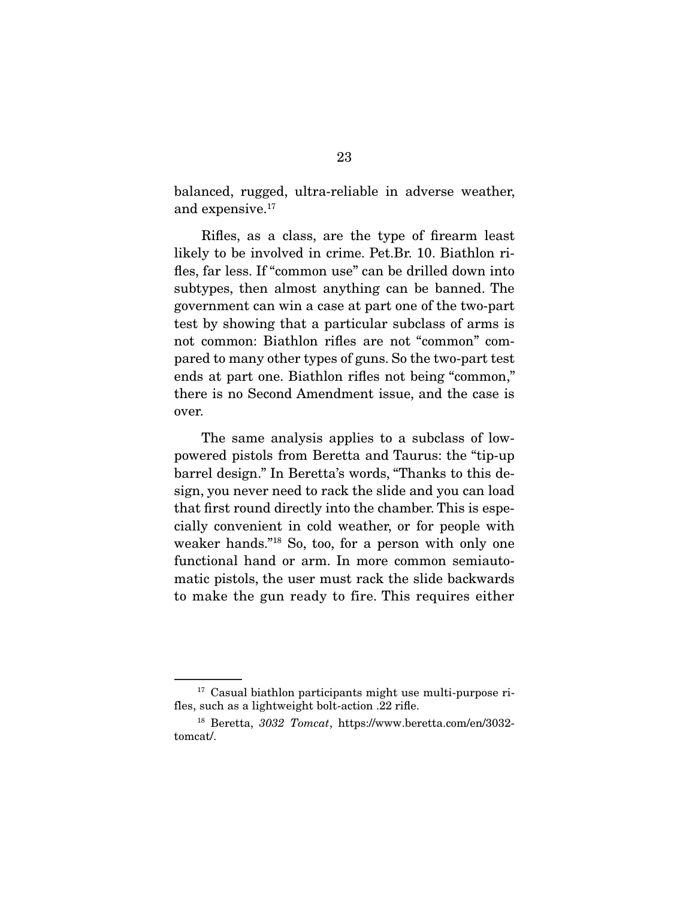balanced, rugged, ultra-reliable in adverse weather, and expensive.17

 Rifles, as a class, are the type of firearm least likely to be involved in crime. Pet.Br. 10. Biathlon rifles, far less. If "common use" can be drilled down into subtypes, then almost anything can be banned. The government can win a case at part one of the two-part test by showing that a particular subclass of arms is not common: Biathlon rifles are not "common" compared to many other types of guns. So the two-part test ends at part one. Biathlon rifles not being "common," there is no Second Amendment issue, and the case is over.

 The same analysis applies to a subclass of lowpowered pistols from Beretta and Taurus: the "tip-up barrel design." In Beretta's words, "Thanks to this design, you never need to rack the slide and you can load that first round directly into the chamber. This is especially convenient in cold weather, or for people with weaker hands."18 So, too, for a person with only one functional hand or arm. In more common semiautomatic pistols, the user must rack the slide backwards to make the gun ready to fire. This requires either

<sup>&</sup>lt;sup>17</sup> Casual biathlon participants might use multi-purpose rifles, such as a lightweight bolt-action .22 rifle.

<sup>18</sup> Beretta, *3032 Tomcat*, https://www.beretta.com/en/3032 tomcat/.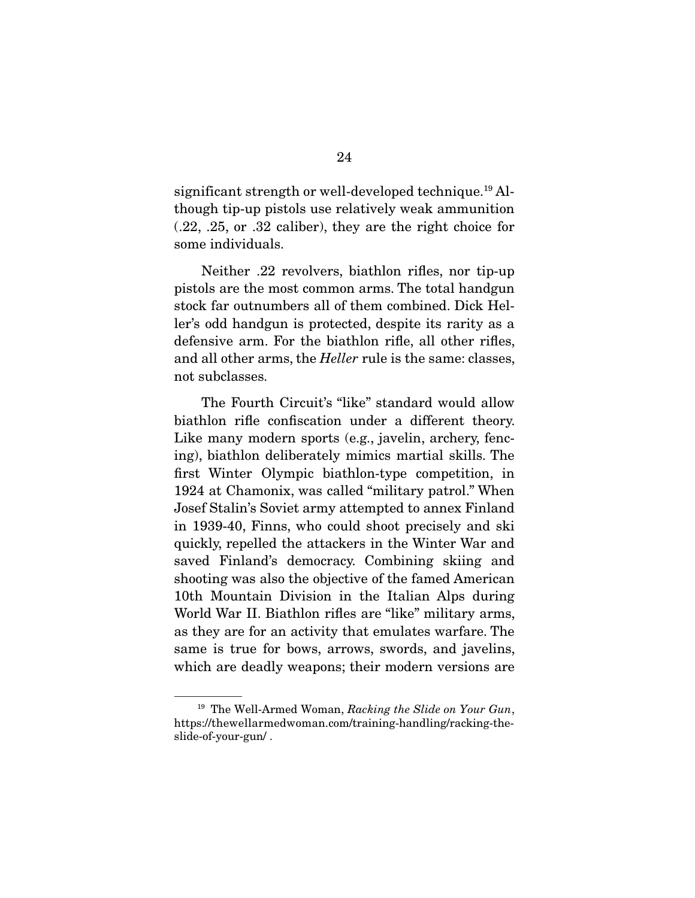significant strength or well-developed technique.<sup>19</sup> Although tip-up pistols use relatively weak ammunition (.22, .25, or .32 caliber), they are the right choice for some individuals.

 Neither .22 revolvers, biathlon rifles, nor tip-up pistols are the most common arms. The total handgun stock far outnumbers all of them combined. Dick Heller's odd handgun is protected, despite its rarity as a defensive arm. For the biathlon rifle, all other rifles, and all other arms, the *Heller* rule is the same: classes, not subclasses.

 The Fourth Circuit's "like" standard would allow biathlon rifle confiscation under a different theory. Like many modern sports (e.g., javelin, archery, fencing), biathlon deliberately mimics martial skills. The first Winter Olympic biathlon-type competition, in 1924 at Chamonix, was called "military patrol." When Josef Stalin's Soviet army attempted to annex Finland in 1939-40, Finns, who could shoot precisely and ski quickly, repelled the attackers in the Winter War and saved Finland's democracy. Combining skiing and shooting was also the objective of the famed American 10th Mountain Division in the Italian Alps during World War II. Biathlon rifles are "like" military arms, as they are for an activity that emulates warfare. The same is true for bows, arrows, swords, and javelins, which are deadly weapons; their modern versions are

<sup>19</sup> The Well-Armed Woman, *Racking the Slide on Your Gun*, https://thewellarmedwoman.com/training-handling/racking-theslide-of-your-gun/ .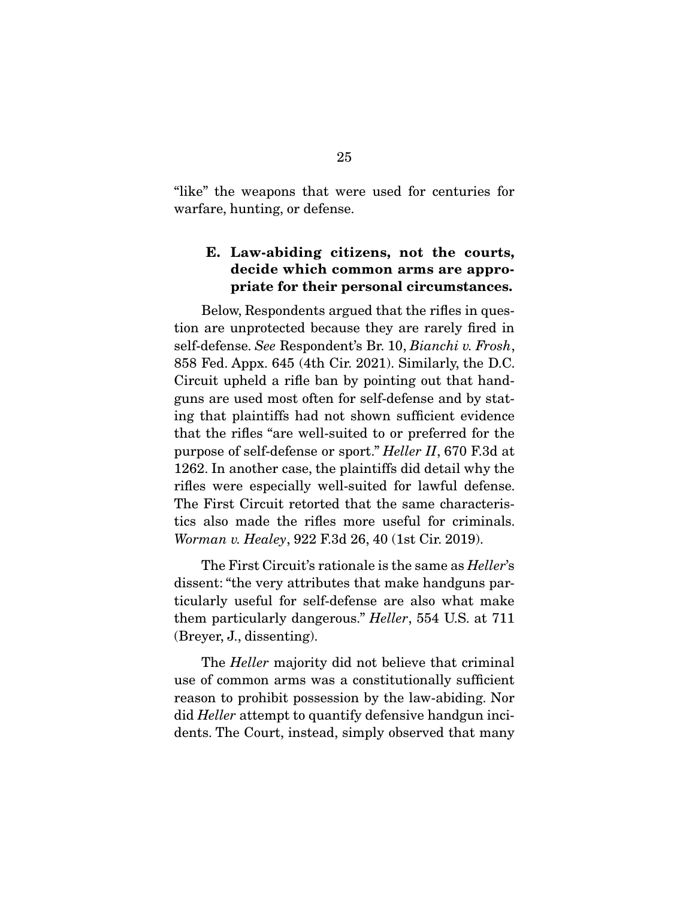"like" the weapons that were used for centuries for warfare, hunting, or defense.

### **E. Law-abiding citizens, not the courts, decide which common arms are appropriate for their personal circumstances.**

Below, Respondents argued that the rifles in question are unprotected because they are rarely fired in self-defense. *See* Respondent's Br. 10, *Bianchi v. Frosh*, 858 Fed. Appx. 645 (4th Cir. 2021). Similarly, the D.C. Circuit upheld a rifle ban by pointing out that handguns are used most often for self-defense and by stating that plaintiffs had not shown sufficient evidence that the rifles "are well-suited to or preferred for the purpose of self-defense or sport." *Heller II*, 670 F.3d at 1262. In another case, the plaintiffs did detail why the rifles were especially well-suited for lawful defense. The First Circuit retorted that the same characteristics also made the rifles more useful for criminals. *Worman v. Healey*, 922 F.3d 26, 40 (1st Cir. 2019).

 The First Circuit's rationale is the same as *Heller*'s dissent: "the very attributes that make handguns particularly useful for self-defense are also what make them particularly dangerous." *Heller*, 554 U.S. at 711 (Breyer, J., dissenting).

 The *Heller* majority did not believe that criminal use of common arms was a constitutionally sufficient reason to prohibit possession by the law-abiding. Nor did *Heller* attempt to quantify defensive handgun incidents. The Court, instead, simply observed that many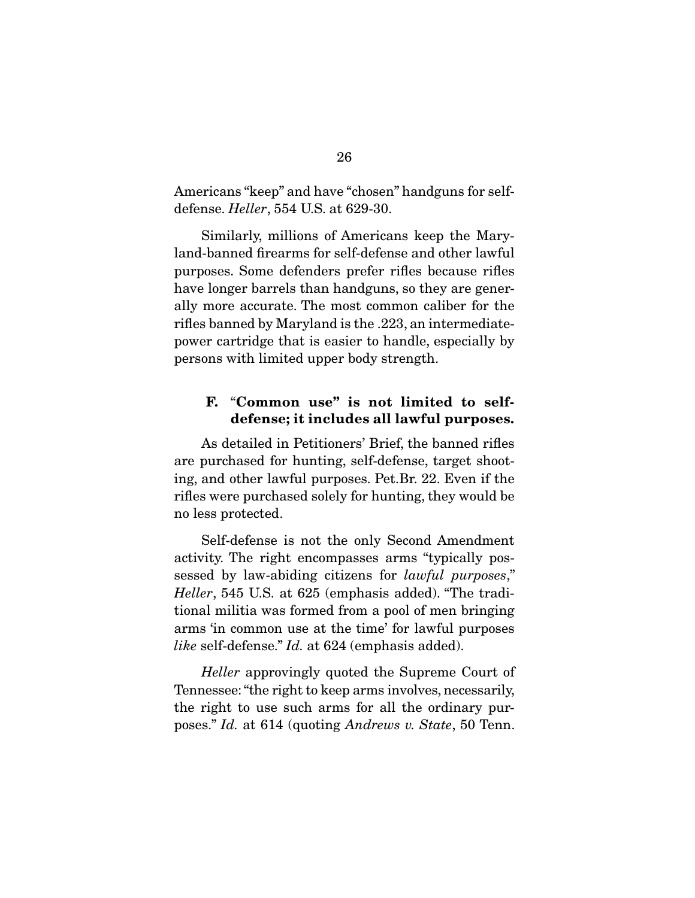Americans "keep" and have "chosen" handguns for selfdefense. *Heller*, 554 U.S. at 629-30.

 Similarly, millions of Americans keep the Maryland-banned firearms for self-defense and other lawful purposes. Some defenders prefer rifles because rifles have longer barrels than handguns, so they are generally more accurate. The most common caliber for the rifles banned by Maryland is the .223, an intermediatepower cartridge that is easier to handle, especially by persons with limited upper body strength.

#### **F.** "**Common use" is not limited to selfdefense; it includes all lawful purposes.**

As detailed in Petitioners' Brief, the banned rifles are purchased for hunting, self-defense, target shooting, and other lawful purposes. Pet.Br. 22. Even if the rifles were purchased solely for hunting, they would be no less protected.

 Self-defense is not the only Second Amendment activity. The right encompasses arms "typically possessed by law-abiding citizens for *lawful purposes*," *Heller*, 545 U.S. at 625 (emphasis added). "The traditional militia was formed from a pool of men bringing arms 'in common use at the time' for lawful purposes *like* self-defense." *Id.* at 624 (emphasis added).

*Heller* approvingly quoted the Supreme Court of Tennessee: "the right to keep arms involves, necessarily, the right to use such arms for all the ordinary purposes." *Id.* at 614 (quoting *Andrews v. State*, 50 Tenn.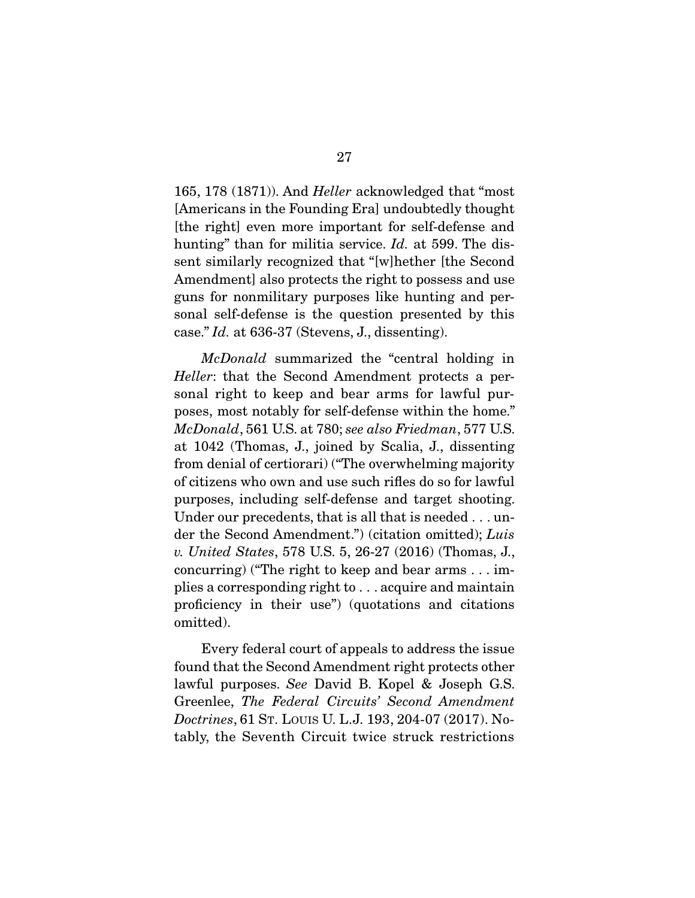165, 178 (1871)). And *Heller* acknowledged that "most [Americans in the Founding Era] undoubtedly thought [the right] even more important for self-defense and hunting" than for militia service. *Id.* at 599. The dissent similarly recognized that "[w]hether [the Second Amendment] also protects the right to possess and use guns for nonmilitary purposes like hunting and personal self-defense is the question presented by this case." *Id.* at 636-37 (Stevens, J., dissenting).

*McDonald* summarized the "central holding in *Heller*: that the Second Amendment protects a personal right to keep and bear arms for lawful purposes, most notably for self-defense within the home." *McDonald*, 561 U.S. at 780; *see also Friedman*, 577 U.S. at 1042 (Thomas, J., joined by Scalia, J., dissenting from denial of certiorari) ("The overwhelming majority of citizens who own and use such rifles do so for lawful purposes, including self-defense and target shooting. Under our precedents, that is all that is needed . . . under the Second Amendment.") (citation omitted); *Luis v. United States*, 578 U.S. 5, 26-27 (2016) (Thomas, J., concurring) ("The right to keep and bear arms . . . implies a corresponding right to . . . acquire and maintain proficiency in their use") (quotations and citations omitted).

 Every federal court of appeals to address the issue found that the Second Amendment right protects other lawful purposes. *See* David B. Kopel & Joseph G.S. Greenlee, *The Federal Circuits' Second Amendment Doctrines*, 61 ST. LOUIS U. L.J. 193, 204-07 (2017). Notably, the Seventh Circuit twice struck restrictions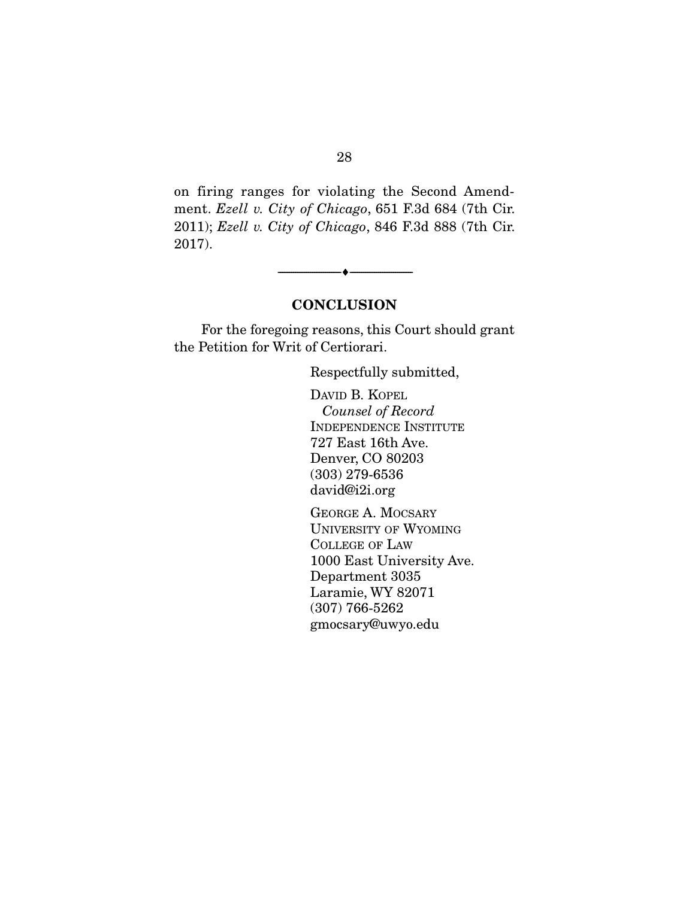on firing ranges for violating the Second Amendment. *Ezell v. City of Chicago*, 651 F.3d 684 (7th Cir. 2011); *Ezell v. City of Chicago*, 846 F.3d 888 (7th Cir. 2017).

**CONCLUSION** 

--------------------------------- ♦ ---------------------------------

For the foregoing reasons, this Court should grant the Petition for Writ of Certiorari.

Respectfully submitted,

DAVID B. KOPEL *Counsel of Record*  INDEPENDENCE INSTITUTE 727 East 16th Ave. Denver, CO 80203 (303) 279-6536 david@i2i.org

GEORGE A. MOCSARY UNIVERSITY OF WYOMING COLLEGE OF LAW 1000 East University Ave. Department 3035 Laramie, WY 82071 (307) 766-5262 gmocsary@uwyo.edu